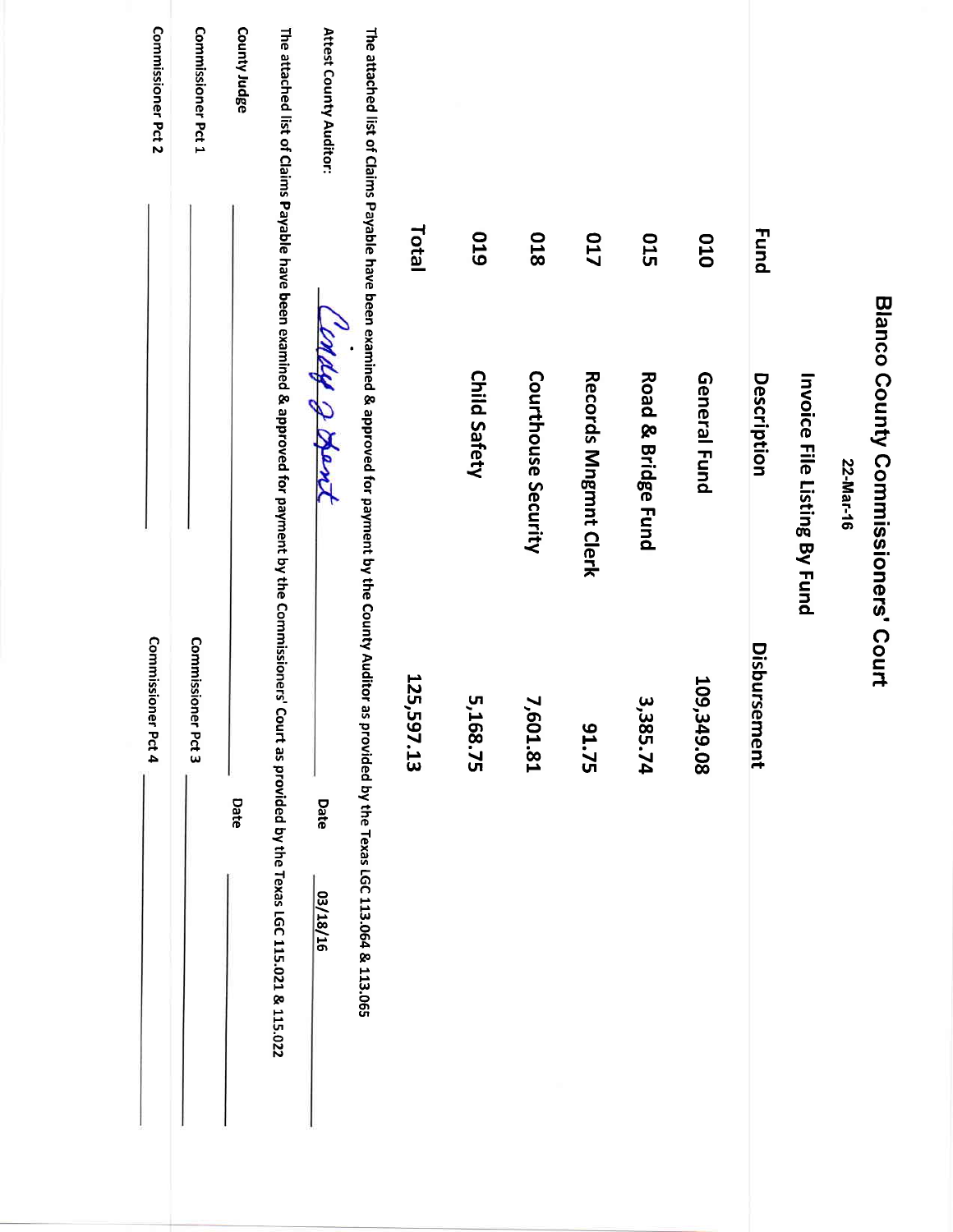| Commissioner Pct 2 | Commissioner Pct 1 | County Judge | The attached list of Claims Payable have been examined & approved for payment by the Commissioners' Court as provided by the Texas LGC 115.021 & 115.022 | Attest County Auditor:<br>profe & Apro, | The attached list of Claims Payable have been examined & approved for payment by the County Auditor as provided by the Texas LGC 113.064 & 113.065 | Total      | 610<br><b>Child Safety</b> | 810<br>Courthouse Security | <b>717</b><br>Records Mngmnt Clerk | <b>015</b><br><b>Road &amp; Bridge Fund</b> | 010<br>General Fund | <b>Fund</b><br>Description | Invoice File Listing By Fund | 22-Mar-16 | Blanco County Commissioners' Court |
|--------------------|--------------------|--------------|----------------------------------------------------------------------------------------------------------------------------------------------------------|-----------------------------------------|----------------------------------------------------------------------------------------------------------------------------------------------------|------------|----------------------------|----------------------------|------------------------------------|---------------------------------------------|---------------------|----------------------------|------------------------------|-----------|------------------------------------|
| Commissioner Pct 4 | Commissioner Pct 3 | Date         |                                                                                                                                                          | Date<br>03/18/16                        |                                                                                                                                                    | 125,597.13 | 5,168.75                   | 7,601.81                   | 51.75                              | 3,385.74                                    | 109,349.08          | Disbursement               |                              |           |                                    |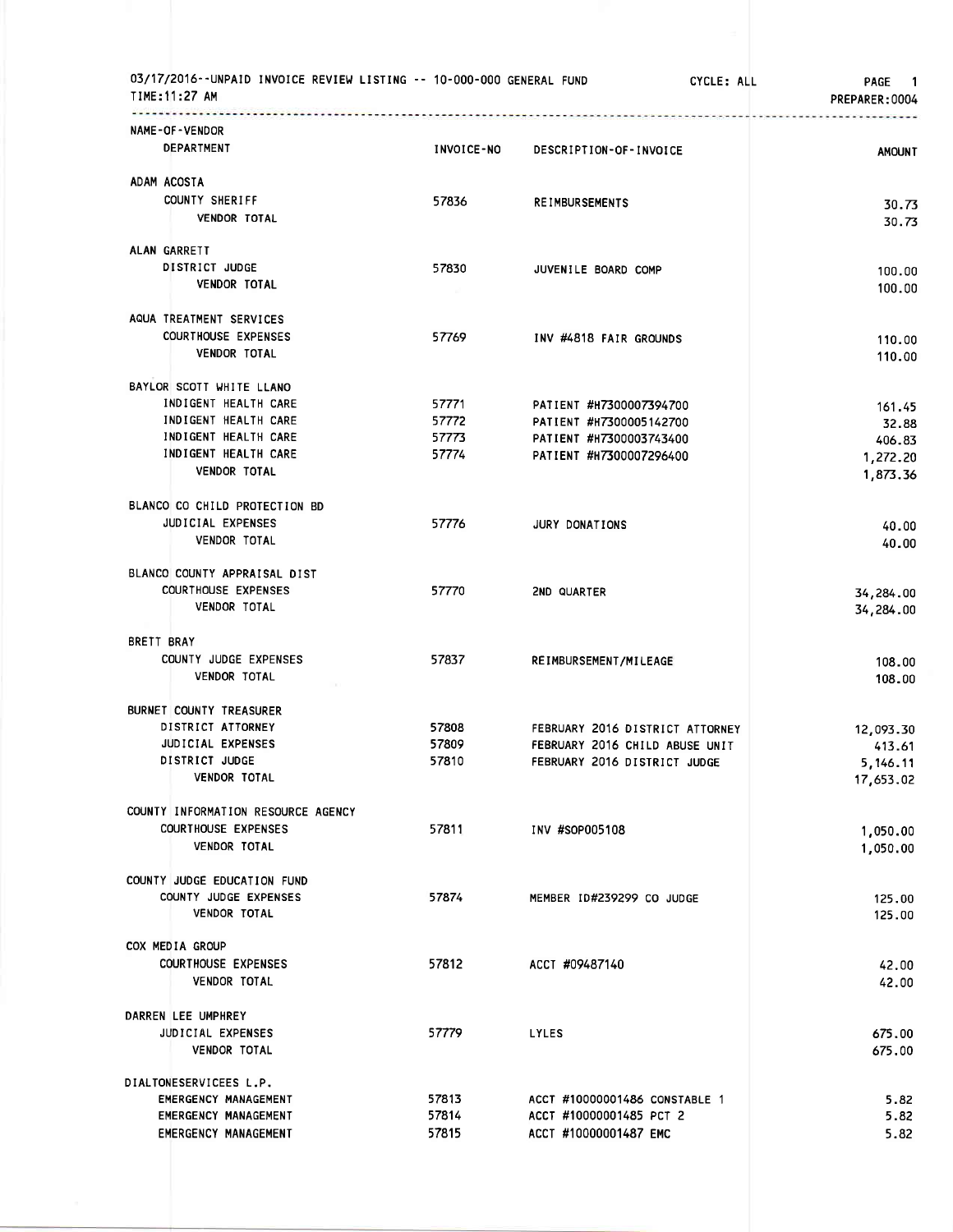| 03/17/2016--UNPAID INVOICE REVIEW LISTING -- 10-000-000 GENERAL FUND<br>TIME: 11:27 AM |                   |                                                                | CYCLE: ALL<br>PAGE 1<br>PREPARER: 0004 |
|----------------------------------------------------------------------------------------|-------------------|----------------------------------------------------------------|----------------------------------------|
| NAME-OF-VENDOR                                                                         |                   |                                                                |                                        |
| DEPARTMENT                                                                             | <b>INVOICE-NO</b> | DESCRIPTION-OF-INVOICE                                         | <b>AMOUNT</b>                          |
| ADAM ACOSTA                                                                            |                   |                                                                |                                        |
| COUNTY SHERIFF                                                                         | 57836             | <b>REIMBURSEMENTS</b>                                          | 30.73                                  |
| VENDOR TOTAL                                                                           |                   |                                                                | 30.73                                  |
| ALAN GARRETT                                                                           |                   |                                                                |                                        |
| DISTRICT JUDGE<br><b>VENDOR TOTAL</b>                                                  | 57830             | JUVENILE BOARD COMP                                            | 100.00                                 |
|                                                                                        |                   |                                                                | 100.00                                 |
| AQUA TREATMENT SERVICES                                                                |                   |                                                                |                                        |
| <b>COURTHOUSE EXPENSES</b>                                                             | 57769             | INV #4818 FAIR GROUNDS                                         | 110.00                                 |
| <b>VENDOR TOTAL</b>                                                                    |                   |                                                                | 110.00                                 |
| BAYLOR SCOTT WHITE LLANO                                                               |                   |                                                                |                                        |
| INDIGENT HEALTH CARE                                                                   | 57771             | PATIENT #H7300007394700                                        | 161.45                                 |
| INDIGENT HEALTH CARE<br>INDIGENT HEALTH CARE                                           | 57772<br>57773    | PATIENT #H7300005142700<br>PATIENT #H7300003743400             | 32.88<br>406.83                        |
| INDIGENT HEALTH CARE                                                                   | 57774             | PATIENT #H7300007296400                                        | 1,272.20                               |
| <b>VENDOR TOTAL</b>                                                                    |                   |                                                                | 1,873.36                               |
| BLANCO CO CHILD PROTECTION BD                                                          |                   |                                                                |                                        |
| JUDICIAL EXPENSES                                                                      | 57776             | <b>JURY DONATIONS</b>                                          | 40.00                                  |
| <b>VENDOR TOTAL</b>                                                                    |                   |                                                                | 40.00                                  |
| BLANCO COUNTY APPRAISAL DIST                                                           |                   |                                                                |                                        |
| <b>COURTHOUSE EXPENSES</b>                                                             | 57770             | 2ND QUARTER                                                    | 34,284.00                              |
| <b>VENDOR TOTAL</b>                                                                    |                   |                                                                | 34,284.00                              |
| BRETT BRAY                                                                             |                   |                                                                |                                        |
| COUNTY JUDGE EXPENSES                                                                  | 57837             | REIMBURSEMENT/MILEAGE                                          | 108.00                                 |
| <b>VENDOR TOTAL</b>                                                                    |                   |                                                                | 108.00                                 |
| BURNET COUNTY TREASURER                                                                |                   |                                                                |                                        |
| DISTRICT ATTORNEY                                                                      | 57808             | FEBRUARY 2016 DISTRICT ATTORNEY                                | 12,093.30                              |
| JUDICIAL EXPENSES<br>DISTRICT JUDGE                                                    | 57809<br>57810    | FEBRUARY 2016 CHILD ABUSE UNIT<br>FEBRUARY 2016 DISTRICT JUDGE | 413.61<br>5,146.11                     |
| <b>VENDOR TOTAL</b>                                                                    |                   |                                                                | 17,653.02                              |
|                                                                                        |                   |                                                                |                                        |
| COUNTY INFORMATION RESOURCE AGENCY<br><b>COURTHOUSE EXPENSES</b>                       | 57811             | INV #SOP005108                                                 | 1,050.00                               |
| <b>VENDOR TOTAL</b>                                                                    |                   |                                                                | 1,050.00                               |
|                                                                                        |                   |                                                                |                                        |
| COUNTY JUDGE EDUCATION FUND                                                            |                   |                                                                |                                        |
| COUNTY JUDGE EXPENSES<br>VENDOR TOTAL                                                  | 57874             | MEMBER ID#239299 CO JUDGE                                      | 125.00<br>125.00                       |
| COX MEDIA GROUP                                                                        |                   |                                                                |                                        |
| <b>COURTHOUSE EXPENSES</b>                                                             | 57812             | ACCT #09487140                                                 | 42.00                                  |
| VENDOR TOTAL                                                                           |                   |                                                                | 42.00                                  |
| DARREN LEE UMPHREY                                                                     |                   |                                                                |                                        |
| JUDICIAL EXPENSES                                                                      | 57779             | <b>LYLES</b>                                                   | 675.00                                 |
| VENDOR TOTAL                                                                           |                   |                                                                | 675.00                                 |
| DIALTONESERVICEES L.P.                                                                 |                   |                                                                |                                        |
| EMERGENCY MANAGEMENT                                                                   | 57813             | ACCT #10000001486 CONSTABLE 1                                  | 5.82                                   |
| EMERGENCY MANAGEMENT                                                                   | 57814             | ACCT #10000001485 PCT 2                                        | 5.82                                   |
| EMERGENCY MANAGEMENT                                                                   | 57815             | ACCT #10000001487 EMC                                          | 5.82                                   |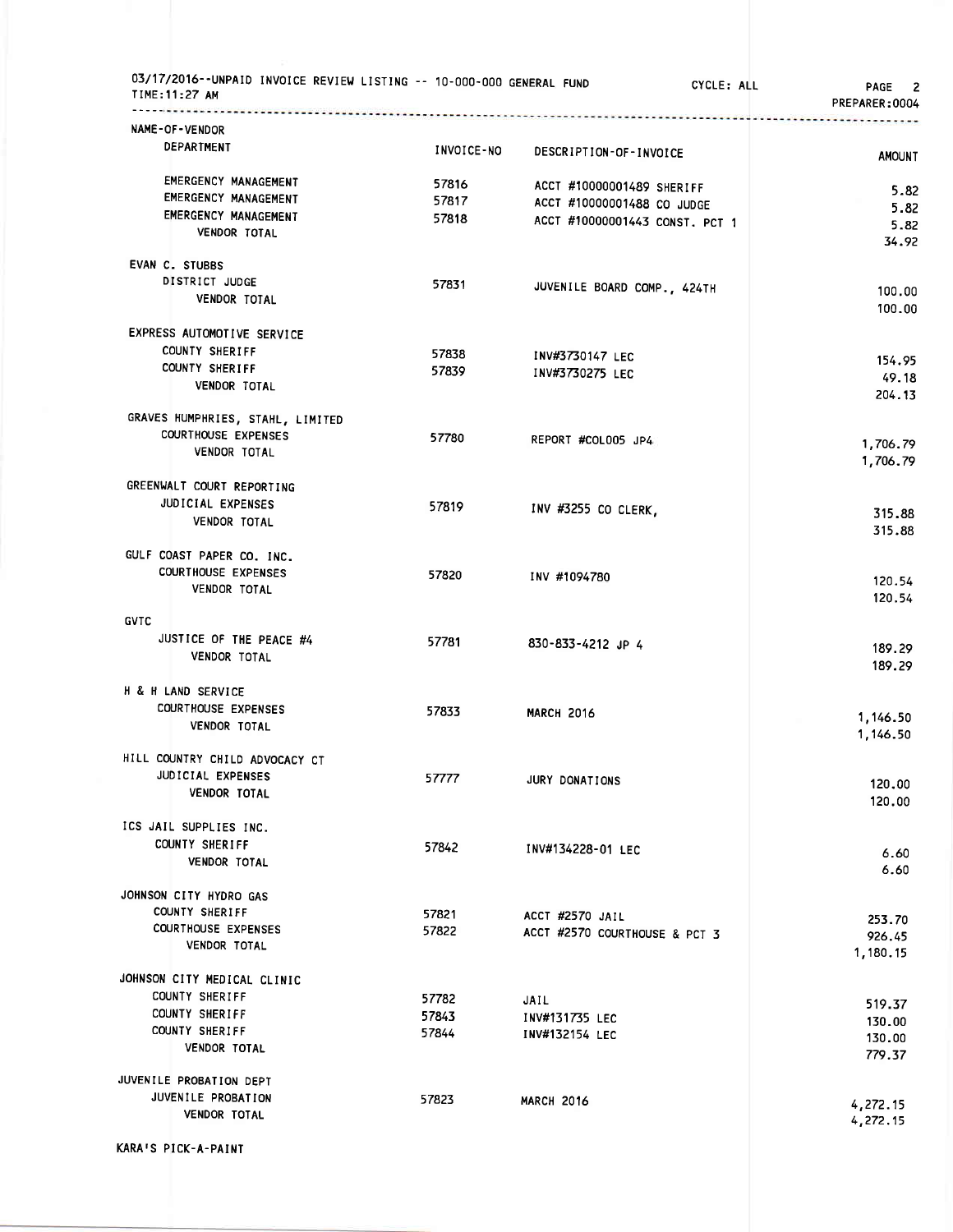| 03/17/2016--UNPAID INVOICE REVIEW LISTING -- 10-000-000 GENERAL FUND<br>TIME: 11:27 AM |                |                                | CYCLE: ALL<br>PAGE 2<br>PREPARER:0004 |
|----------------------------------------------------------------------------------------|----------------|--------------------------------|---------------------------------------|
| NAME-OF-VENDOR                                                                         |                |                                |                                       |
| <b>DEPARTMENT</b>                                                                      | INVOICE-NO     | DESCRIPTION-OF-INVOICE         | <b>AMOUNT</b>                         |
| EMERGENCY MANAGEMENT                                                                   | 57816          | ACCT #10000001489 SHERIFF      |                                       |
| EMERGENCY MANAGEMENT                                                                   | 57817          | ACCT #10000001488 CO JUDGE     | 5.82                                  |
| <b>EMERGENCY MANAGEMENT</b>                                                            | 57818          | ACCT #10000001443 CONST. PCT 1 | 5.82                                  |
| VENDOR TOTAL                                                                           |                |                                | 5.82<br>34.92                         |
| EVAN C. STUBBS                                                                         |                |                                |                                       |
| DISTRICT JUDGE<br>VENDOR TOTAL                                                         | 57831          | JUVENILE BOARD COMP., 424TH    | 100.00<br>100.00                      |
| EXPRESS AUTOMOTIVE SERVICE                                                             |                |                                |                                       |
| COUNTY SHERIFF                                                                         | 57838          | INV#3730147 LEC                | 154.95                                |
| COUNTY SHERIFF                                                                         | 57839          | INV#3730275 LEC                | 49.18                                 |
| <b>VENDOR TOTAL</b>                                                                    |                |                                | 204.13                                |
| GRAVES HUMPHRIES, STAHL, LIMITED                                                       |                |                                |                                       |
| <b>COURTHOUSE EXPENSES</b>                                                             | 57780          | REPORT #COLOO5 JP4             | 1,706.79                              |
| <b>VENDOR TOTAL</b>                                                                    |                |                                | 1,706.79                              |
| GREENWALT COURT REPORTING                                                              |                |                                |                                       |
| JUDICIAL EXPENSES                                                                      | 57819          | INV #3255 CO CLERK,            | 315.88                                |
| <b>VENDOR TOTAL</b>                                                                    |                |                                | 315.88                                |
| GULF COAST PAPER CO. INC.                                                              |                |                                |                                       |
| <b>COURTHOUSE EXPENSES</b><br>VENDOR TOTAL                                             | 57820          | INV #1094780                   | 120.54                                |
|                                                                                        |                |                                | 120.54                                |
| <b>GVTC</b>                                                                            |                |                                |                                       |
| JUSTICE OF THE PEACE #4<br><b>VENDOR TOTAL</b>                                         | 57781          | 830-833-4212 JP 4              | 189.29                                |
|                                                                                        |                |                                | 189.29                                |
| H & H LAND SERVICE                                                                     |                |                                |                                       |
| <b>COURTHOUSE EXPENSES</b><br><b>VENDOR TOTAL</b>                                      | 57833          | <b>MARCH 2016</b>              | 1,146.50                              |
|                                                                                        |                |                                | 1,146.50                              |
| HILL COUNTRY CHILD ADVOCACY CT                                                         |                |                                |                                       |
| JUDICIAL EXPENSES<br>VENDOR TOTAL                                                      | 57777          | <b>JURY DONATIONS</b>          | 120.00                                |
|                                                                                        |                |                                | 120.00                                |
| ICS JAIL SUPPLIES INC.<br>COUNTY SHERIFF                                               |                |                                |                                       |
| VENDOR TOTAL                                                                           | 57842          | INV#134228-01 LEC              | 6.60                                  |
|                                                                                        |                |                                | 6.60                                  |
| JOHNSON CITY HYDRO GAS<br><b>COUNTY SHERIFF</b>                                        |                |                                |                                       |
| <b>COURTHOUSE EXPENSES</b>                                                             | 57821<br>57822 | ACCT #2570 JAIL                | 253.70                                |
| <b>VENDOR TOTAL</b>                                                                    |                | ACCT #2570 COURTHOUSE & PCT 3  | 926.45<br>1,180.15                    |
| JOHNSON CITY MEDICAL CLINIC                                                            |                |                                |                                       |
| COUNTY SHERIFF                                                                         | 57782          | JAIL                           |                                       |
| COUNTY SHERIFF                                                                         | 57843          | INV#131735 LEC                 | 519.37                                |
| COUNTY SHERIFF                                                                         | 57844          | INV#132154 LEC                 | 130.00                                |
| VENDOR TOTAL                                                                           |                |                                | 130.00<br>779.37                      |
| JUVENILE PROBATION DEPT                                                                |                |                                |                                       |
| JUVENILE PROBATION                                                                     | 57823          | <b>MARCH 2016</b>              |                                       |
| <b>VENDOR TOTAL</b>                                                                    |                |                                | 4,272.15<br>4,272.15                  |
|                                                                                        |                |                                |                                       |

KARAIS PICK-A-PAINT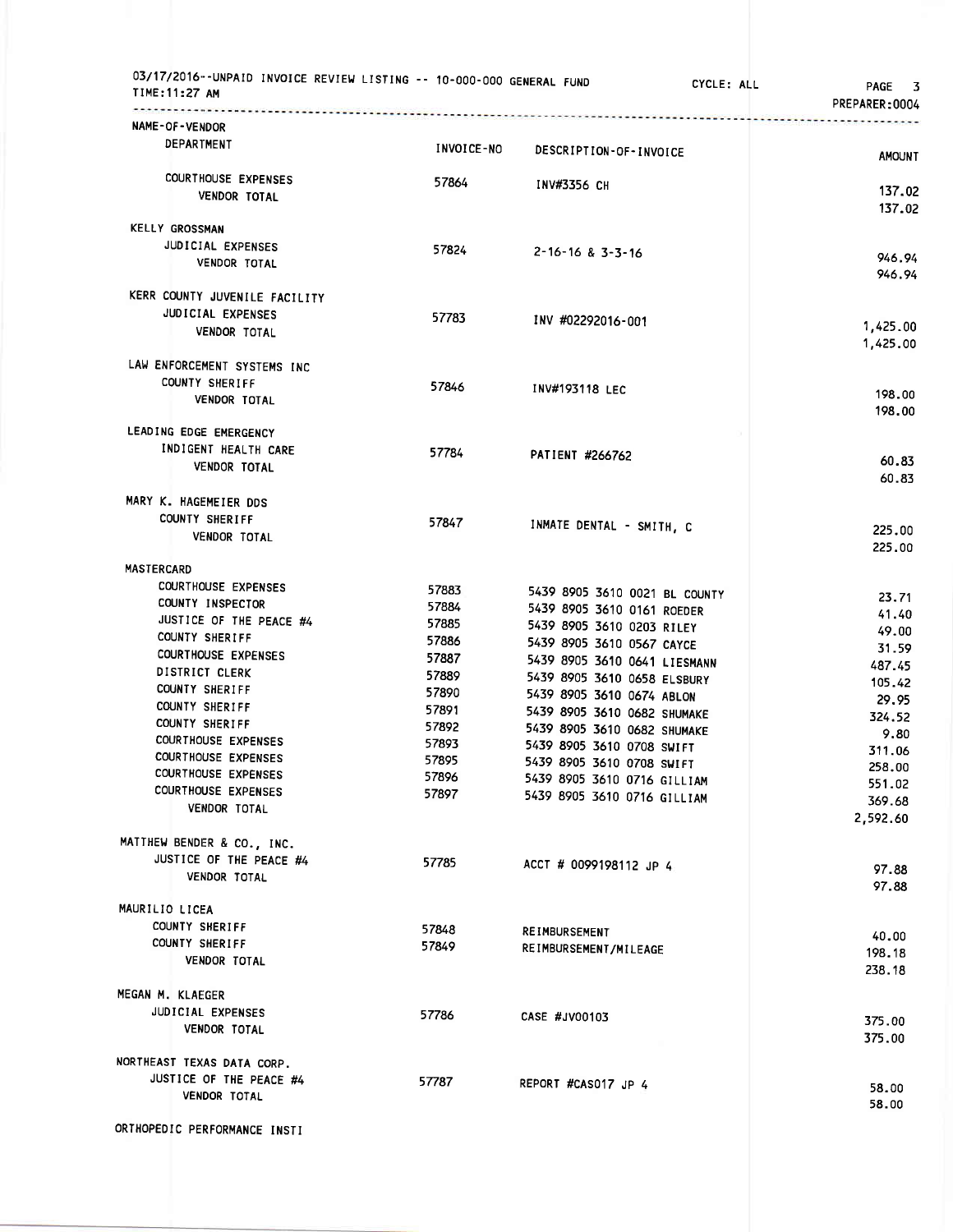| 03/17/2016--UNPAID INVOICE REVIEW LISTING -- 10-000-000 GENERAL FUND<br>TIME:11:27 AM |                | CYCLE: ALL                                               | PAGE 3<br>PREPARER:0004 |
|---------------------------------------------------------------------------------------|----------------|----------------------------------------------------------|-------------------------|
| NAME-OF-VENDOR                                                                        |                |                                                          |                         |
| DEPARTMENT                                                                            | INVOICE-NO     | DESCRIPTION-OF-INVOICE                                   | <b>AMOUNT</b>           |
| COURTHOUSE EXPENSES                                                                   | 57864          | INV#3356 CH                                              |                         |
| <b>VENDOR TOTAL</b>                                                                   |                |                                                          | 137.02<br>137.02        |
| <b>KELLY GROSSMAN</b>                                                                 |                |                                                          |                         |
| JUDICIAL EXPENSES                                                                     | 57824          | 2-16-16 & 3-3-16                                         |                         |
| <b>VENDOR TOTAL</b>                                                                   |                |                                                          | 946.94<br>946.94        |
| KERR COUNTY JUVENILE FACILITY                                                         |                |                                                          |                         |
| JUDICIAL EXPENSES                                                                     | 57783          | INV #02292016-001                                        |                         |
| VENDOR TOTAL                                                                          |                |                                                          | 1,425.00<br>1,425.00    |
| LAW ENFORCEMENT SYSTEMS INC                                                           |                |                                                          |                         |
| <b>COUNTY SHERIFF</b>                                                                 | 57846          |                                                          |                         |
| VENDOR TOTAL                                                                          |                | INV#193118 LEC                                           | 198.00                  |
|                                                                                       |                |                                                          | 198.00                  |
| LEADING EDGE EMERGENCY<br>INDIGENT HEALTH CARE                                        |                |                                                          |                         |
| <b>VENDOR TOTAL</b>                                                                   | 57784          | PATIENT #266762                                          | 60.83                   |
|                                                                                       |                |                                                          | 60.83                   |
| MARY K. HAGEMEIER DDS                                                                 |                |                                                          |                         |
| COUNTY SHERIFF                                                                        | 57847          | INMATE DENTAL - SMITH, C                                 | 225.00                  |
| <b>VENDOR TOTAL</b>                                                                   |                |                                                          | 225.00                  |
| <b>MASTERCARD</b>                                                                     |                |                                                          |                         |
| <b>COURTHOUSE EXPENSES</b>                                                            | 57883          | 5439 8905 3610 0021 BL COUNTY                            | 23.71                   |
| COUNTY INSPECTOR                                                                      | 57884          | 5439 8905 3610 0161 ROEDER                               | 41.40                   |
| JUSTICE OF THE PEACE #4                                                               | 57885          | 5439 8905 3610 0203 RILEY                                | 49.00                   |
| COUNTY SHERIFF<br><b>COURTHOUSE EXPENSES</b>                                          | 57886          | 5439 8905 3610 0567 CAYCE                                | 31.59                   |
| DISTRICT CLERK                                                                        | 57887          | 5439 8905 3610 0641 LIESMANN                             | 487.45                  |
| COUNTY SHERIFF                                                                        | 57889<br>57890 | 5439 8905 3610 0658 ELSBURY<br>5439 8905 3610 0674 ABLON | 105.42                  |
| COUNTY SHERIFF                                                                        | 57891          | 5439 8905 3610 0682 SHUMAKE                              | 29.95                   |
| COUNTY SHERIFF                                                                        | 57892          | 5439 8905 3610 0682 SHUMAKE                              | 324.52<br>9.80          |
| <b>COURTHOUSE EXPENSES</b>                                                            | 57893          | 5439 8905 3610 0708 SWIFT                                | 311.06                  |
| <b>COURTHOUSE EXPENSES</b>                                                            | 57895          | 5439 8905 3610 0708 SWIFT                                | 258.00                  |
| <b>COURTHOUSE EXPENSES</b><br><b>COURTHOUSE EXPENSES</b>                              | 57896          | 5439 8905 3610 0716 GILLIAM                              | 551.02                  |
| VENDOR TOTAL                                                                          | 57897          | 5439 8905 3610 0716 GILLIAM                              | 369.68                  |
|                                                                                       |                |                                                          | 2,592.60                |
| MATTHEW BENDER & CO., INC.                                                            |                |                                                          |                         |
| JUSTICE OF THE PEACE #4                                                               | 57785          | ACCT # 0099198112 JP 4                                   | 97.88                   |
| <b>VENDOR TOTAL</b>                                                                   |                |                                                          | 97.88                   |
| MAURILIO LICEA                                                                        |                |                                                          |                         |
| COUNTY SHERIFF                                                                        | 57848          | REIMBURSEMENT                                            | 40.00                   |
| COUNTY SHERIFF                                                                        | 57849          | REIMBURSEMENT/MILEAGE                                    | 198.18                  |
| VENDOR TOTAL                                                                          |                |                                                          | 238.18                  |
| MEGAN M. KLAEGER                                                                      |                |                                                          |                         |
| JUDICIAL EXPENSES                                                                     | 57786          | CASE #JV00103                                            |                         |
| <b>VENDOR TOTAL</b>                                                                   |                |                                                          | 375.00<br>375.00        |
| NORTHEAST TEXAS DATA CORP.                                                            |                |                                                          |                         |
| JUSTICE OF THE PEACE #4                                                               | 57787          |                                                          |                         |
| <b>VENDOR TOTAL</b>                                                                   |                | REPORT #CASO17 JP 4                                      | 58.00<br>58.00          |
|                                                                                       |                |                                                          |                         |
| ORTHOPEDIC PERFORMANCE INSTI                                                          |                |                                                          |                         |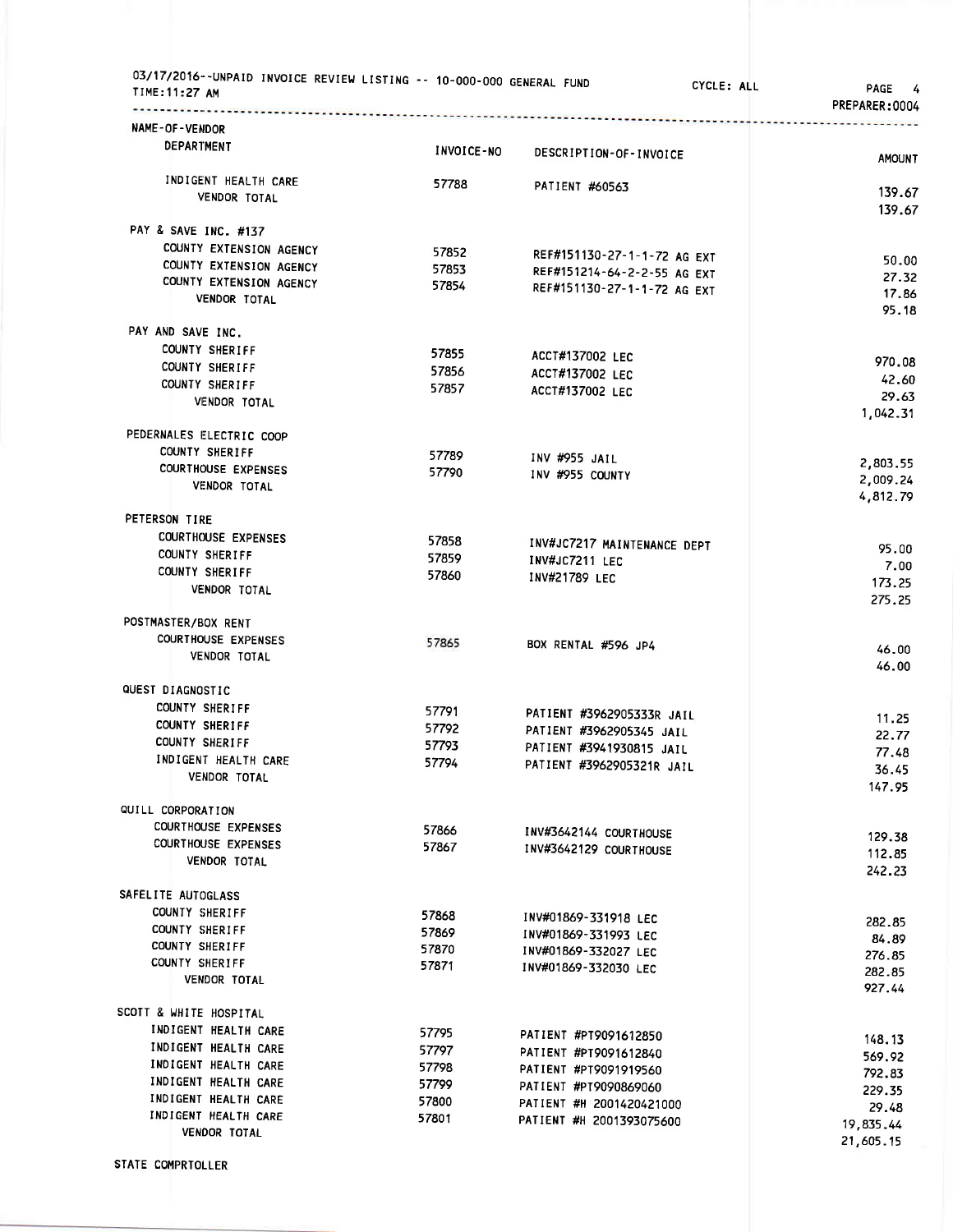| NAME-OF-VENDOR<br>DEPARTMENT<br>INVOICE-NO<br>DESCRIPTION-OF-INVOICE<br>INDIGENT HEALTH CARE<br>57788<br>PATIENT #60563<br><b>VENDOR TOTAL</b><br>PAY & SAVE INC. #137<br>COUNTY EXTENSION AGENCY<br>57852<br>REF#151130-27-1-1-72 AG EXT<br>COUNTY EXTENSION AGENCY<br>57853<br>REF#151214-64-2-2-55 AG EXT<br>27.32<br>COUNTY EXTENSION AGENCY<br>57854<br>REF#151130-27-1-1-72 AG EXT<br>17.86<br>VENDOR TOTAL<br>PAY AND SAVE INC.<br>COUNTY SHERIFF<br>57855<br>ACCT#137002 LEC<br>970.08<br>COUNTY SHERIFF<br>57856<br>ACCT#137002 LEC<br>42.60<br>COUNTY SHERIFF<br>57857<br>ACCT#137002 LEC<br>VENDOR TOTAL<br>PEDERNALES ELECTRIC COOP<br>COUNTY SHERIFF<br>57789<br>INV #955 JAIL<br>2,803.55<br><b>COURTHOUSE EXPENSES</b><br>57790<br>INV #955 COUNTY<br>2,009.24<br><b>VENDOR TOTAL</b><br>PETERSON TIRE<br><b>COURTHOUSE EXPENSES</b><br>57858<br>INV#JC7217 MAINTENANCE DEPT<br>95.00<br>COUNTY SHERIFF<br>57859<br>INV#JC7211 LEC<br>7.00<br><b>COUNTY SHERIFF</b><br>57860<br>INV#21789 LEC<br>VENDOR TOTAL<br>POSTMASTER/BOX RENT<br><b>COURTHOUSE EXPENSES</b><br>57865<br>BOX RENTAL #596 JP4<br>46,00<br>VENDOR TOTAL<br>QUEST DIAGNOSTIC<br>COUNTY SHERIFF<br>57791<br>PATIENT #3962905333R JAIL<br>11.25<br><b>COUNTY SHERIFF</b><br>57792<br>PATIENT #3962905345 JAIL<br>22.77<br>COUNTY SHERIFF<br>57793<br>PATIENT #3941930815 JAIL<br>77.48<br>INDIGENT HEALTH CARE<br>57794<br>PATIENT #3962905321R JAIL<br>36.45<br>VENDOR TOTAL<br>QUILL CORPORATION<br><b>COURTHOUSE EXPENSES</b><br>57866<br>INV#3642144 COURTHOUSE<br>129.38<br><b>COURTHOUSE EXPENSES</b><br>57867<br>INV#3642129 COURTHOUSE<br>112.85<br>VENDOR TOTAL<br>242.23<br>SAFELITE AUTOGLASS<br>COUNTY SHERIFF<br>57868<br>INV#01869-331918 LEC<br>282.85<br>COUNTY SHERIFF<br>57869<br>INV#01869-331993 LEC<br>84.89<br>COUNTY SHERIFF<br>57870<br>INV#01869-332027 LEC<br>276.85<br>COUNTY SHERIFF<br>57871<br>INV#01869-332030 LEC<br>282.85<br><b>VENDOR TOTAL</b><br>927.44<br>SCOTT & WHITE HOSPITAL<br>INDIGENT HEALTH CARE<br>57795<br>PATIENT #PT9091612850<br>148.13<br>INDIGENT HEALTH CARE<br>57797<br>PATIENT #PT9091612840<br>569.92<br>INDIGENT HEALTH CARE<br>57798<br>PATIENT #PT9091919560<br>792.83<br>INDIGENT HEALTH CARE<br>57799<br>PATIENT #PT9090869060<br>229.35<br>INDIGENT HEALTH CARE<br>57800<br>PATIENT #H 2001420421000<br>29.48<br>INDIGENT HEALTH CARE<br>57801<br>PATIENT #H 2001393075600<br>19,835.44 | 03/17/2016--UNPAID INVOICE REVIEW LISTING -- 10-000-000 GENERAL FUND<br>TIME: 11:27 AM | CYCLE: ALL | PAGE<br>4<br>PREPARER:0004 |
|----------------------------------------------------------------------------------------------------------------------------------------------------------------------------------------------------------------------------------------------------------------------------------------------------------------------------------------------------------------------------------------------------------------------------------------------------------------------------------------------------------------------------------------------------------------------------------------------------------------------------------------------------------------------------------------------------------------------------------------------------------------------------------------------------------------------------------------------------------------------------------------------------------------------------------------------------------------------------------------------------------------------------------------------------------------------------------------------------------------------------------------------------------------------------------------------------------------------------------------------------------------------------------------------------------------------------------------------------------------------------------------------------------------------------------------------------------------------------------------------------------------------------------------------------------------------------------------------------------------------------------------------------------------------------------------------------------------------------------------------------------------------------------------------------------------------------------------------------------------------------------------------------------------------------------------------------------------------------------------------------------------------------------------------------------------------------------------------------------------------------------------------------------------------------------------------------------------------------------------------------------------------------------------------------------------------------------------------------------------------------------------------------------------------------------------|----------------------------------------------------------------------------------------|------------|----------------------------|
|                                                                                                                                                                                                                                                                                                                                                                                                                                                                                                                                                                                                                                                                                                                                                                                                                                                                                                                                                                                                                                                                                                                                                                                                                                                                                                                                                                                                                                                                                                                                                                                                                                                                                                                                                                                                                                                                                                                                                                                                                                                                                                                                                                                                                                                                                                                                                                                                                                        |                                                                                        |            |                            |
|                                                                                                                                                                                                                                                                                                                                                                                                                                                                                                                                                                                                                                                                                                                                                                                                                                                                                                                                                                                                                                                                                                                                                                                                                                                                                                                                                                                                                                                                                                                                                                                                                                                                                                                                                                                                                                                                                                                                                                                                                                                                                                                                                                                                                                                                                                                                                                                                                                        |                                                                                        |            | AMOUNT                     |
|                                                                                                                                                                                                                                                                                                                                                                                                                                                                                                                                                                                                                                                                                                                                                                                                                                                                                                                                                                                                                                                                                                                                                                                                                                                                                                                                                                                                                                                                                                                                                                                                                                                                                                                                                                                                                                                                                                                                                                                                                                                                                                                                                                                                                                                                                                                                                                                                                                        |                                                                                        |            |                            |
|                                                                                                                                                                                                                                                                                                                                                                                                                                                                                                                                                                                                                                                                                                                                                                                                                                                                                                                                                                                                                                                                                                                                                                                                                                                                                                                                                                                                                                                                                                                                                                                                                                                                                                                                                                                                                                                                                                                                                                                                                                                                                                                                                                                                                                                                                                                                                                                                                                        |                                                                                        |            | 139.67<br>139.67           |
|                                                                                                                                                                                                                                                                                                                                                                                                                                                                                                                                                                                                                                                                                                                                                                                                                                                                                                                                                                                                                                                                                                                                                                                                                                                                                                                                                                                                                                                                                                                                                                                                                                                                                                                                                                                                                                                                                                                                                                                                                                                                                                                                                                                                                                                                                                                                                                                                                                        |                                                                                        |            |                            |
|                                                                                                                                                                                                                                                                                                                                                                                                                                                                                                                                                                                                                                                                                                                                                                                                                                                                                                                                                                                                                                                                                                                                                                                                                                                                                                                                                                                                                                                                                                                                                                                                                                                                                                                                                                                                                                                                                                                                                                                                                                                                                                                                                                                                                                                                                                                                                                                                                                        |                                                                                        |            |                            |
|                                                                                                                                                                                                                                                                                                                                                                                                                                                                                                                                                                                                                                                                                                                                                                                                                                                                                                                                                                                                                                                                                                                                                                                                                                                                                                                                                                                                                                                                                                                                                                                                                                                                                                                                                                                                                                                                                                                                                                                                                                                                                                                                                                                                                                                                                                                                                                                                                                        |                                                                                        |            | 50.00                      |
|                                                                                                                                                                                                                                                                                                                                                                                                                                                                                                                                                                                                                                                                                                                                                                                                                                                                                                                                                                                                                                                                                                                                                                                                                                                                                                                                                                                                                                                                                                                                                                                                                                                                                                                                                                                                                                                                                                                                                                                                                                                                                                                                                                                                                                                                                                                                                                                                                                        |                                                                                        |            |                            |
|                                                                                                                                                                                                                                                                                                                                                                                                                                                                                                                                                                                                                                                                                                                                                                                                                                                                                                                                                                                                                                                                                                                                                                                                                                                                                                                                                                                                                                                                                                                                                                                                                                                                                                                                                                                                                                                                                                                                                                                                                                                                                                                                                                                                                                                                                                                                                                                                                                        |                                                                                        |            | 95.18                      |
|                                                                                                                                                                                                                                                                                                                                                                                                                                                                                                                                                                                                                                                                                                                                                                                                                                                                                                                                                                                                                                                                                                                                                                                                                                                                                                                                                                                                                                                                                                                                                                                                                                                                                                                                                                                                                                                                                                                                                                                                                                                                                                                                                                                                                                                                                                                                                                                                                                        |                                                                                        |            |                            |
|                                                                                                                                                                                                                                                                                                                                                                                                                                                                                                                                                                                                                                                                                                                                                                                                                                                                                                                                                                                                                                                                                                                                                                                                                                                                                                                                                                                                                                                                                                                                                                                                                                                                                                                                                                                                                                                                                                                                                                                                                                                                                                                                                                                                                                                                                                                                                                                                                                        |                                                                                        |            |                            |
|                                                                                                                                                                                                                                                                                                                                                                                                                                                                                                                                                                                                                                                                                                                                                                                                                                                                                                                                                                                                                                                                                                                                                                                                                                                                                                                                                                                                                                                                                                                                                                                                                                                                                                                                                                                                                                                                                                                                                                                                                                                                                                                                                                                                                                                                                                                                                                                                                                        |                                                                                        |            |                            |
|                                                                                                                                                                                                                                                                                                                                                                                                                                                                                                                                                                                                                                                                                                                                                                                                                                                                                                                                                                                                                                                                                                                                                                                                                                                                                                                                                                                                                                                                                                                                                                                                                                                                                                                                                                                                                                                                                                                                                                                                                                                                                                                                                                                                                                                                                                                                                                                                                                        |                                                                                        |            | 29.63                      |
|                                                                                                                                                                                                                                                                                                                                                                                                                                                                                                                                                                                                                                                                                                                                                                                                                                                                                                                                                                                                                                                                                                                                                                                                                                                                                                                                                                                                                                                                                                                                                                                                                                                                                                                                                                                                                                                                                                                                                                                                                                                                                                                                                                                                                                                                                                                                                                                                                                        |                                                                                        |            | 1,042.31                   |
|                                                                                                                                                                                                                                                                                                                                                                                                                                                                                                                                                                                                                                                                                                                                                                                                                                                                                                                                                                                                                                                                                                                                                                                                                                                                                                                                                                                                                                                                                                                                                                                                                                                                                                                                                                                                                                                                                                                                                                                                                                                                                                                                                                                                                                                                                                                                                                                                                                        |                                                                                        |            |                            |
|                                                                                                                                                                                                                                                                                                                                                                                                                                                                                                                                                                                                                                                                                                                                                                                                                                                                                                                                                                                                                                                                                                                                                                                                                                                                                                                                                                                                                                                                                                                                                                                                                                                                                                                                                                                                                                                                                                                                                                                                                                                                                                                                                                                                                                                                                                                                                                                                                                        |                                                                                        |            |                            |
|                                                                                                                                                                                                                                                                                                                                                                                                                                                                                                                                                                                                                                                                                                                                                                                                                                                                                                                                                                                                                                                                                                                                                                                                                                                                                                                                                                                                                                                                                                                                                                                                                                                                                                                                                                                                                                                                                                                                                                                                                                                                                                                                                                                                                                                                                                                                                                                                                                        |                                                                                        |            |                            |
|                                                                                                                                                                                                                                                                                                                                                                                                                                                                                                                                                                                                                                                                                                                                                                                                                                                                                                                                                                                                                                                                                                                                                                                                                                                                                                                                                                                                                                                                                                                                                                                                                                                                                                                                                                                                                                                                                                                                                                                                                                                                                                                                                                                                                                                                                                                                                                                                                                        |                                                                                        |            | 4,812.79                   |
|                                                                                                                                                                                                                                                                                                                                                                                                                                                                                                                                                                                                                                                                                                                                                                                                                                                                                                                                                                                                                                                                                                                                                                                                                                                                                                                                                                                                                                                                                                                                                                                                                                                                                                                                                                                                                                                                                                                                                                                                                                                                                                                                                                                                                                                                                                                                                                                                                                        |                                                                                        |            |                            |
|                                                                                                                                                                                                                                                                                                                                                                                                                                                                                                                                                                                                                                                                                                                                                                                                                                                                                                                                                                                                                                                                                                                                                                                                                                                                                                                                                                                                                                                                                                                                                                                                                                                                                                                                                                                                                                                                                                                                                                                                                                                                                                                                                                                                                                                                                                                                                                                                                                        |                                                                                        |            |                            |
|                                                                                                                                                                                                                                                                                                                                                                                                                                                                                                                                                                                                                                                                                                                                                                                                                                                                                                                                                                                                                                                                                                                                                                                                                                                                                                                                                                                                                                                                                                                                                                                                                                                                                                                                                                                                                                                                                                                                                                                                                                                                                                                                                                                                                                                                                                                                                                                                                                        |                                                                                        |            |                            |
|                                                                                                                                                                                                                                                                                                                                                                                                                                                                                                                                                                                                                                                                                                                                                                                                                                                                                                                                                                                                                                                                                                                                                                                                                                                                                                                                                                                                                                                                                                                                                                                                                                                                                                                                                                                                                                                                                                                                                                                                                                                                                                                                                                                                                                                                                                                                                                                                                                        |                                                                                        |            | 173.25                     |
|                                                                                                                                                                                                                                                                                                                                                                                                                                                                                                                                                                                                                                                                                                                                                                                                                                                                                                                                                                                                                                                                                                                                                                                                                                                                                                                                                                                                                                                                                                                                                                                                                                                                                                                                                                                                                                                                                                                                                                                                                                                                                                                                                                                                                                                                                                                                                                                                                                        |                                                                                        |            | 275.25                     |
|                                                                                                                                                                                                                                                                                                                                                                                                                                                                                                                                                                                                                                                                                                                                                                                                                                                                                                                                                                                                                                                                                                                                                                                                                                                                                                                                                                                                                                                                                                                                                                                                                                                                                                                                                                                                                                                                                                                                                                                                                                                                                                                                                                                                                                                                                                                                                                                                                                        |                                                                                        |            |                            |
|                                                                                                                                                                                                                                                                                                                                                                                                                                                                                                                                                                                                                                                                                                                                                                                                                                                                                                                                                                                                                                                                                                                                                                                                                                                                                                                                                                                                                                                                                                                                                                                                                                                                                                                                                                                                                                                                                                                                                                                                                                                                                                                                                                                                                                                                                                                                                                                                                                        |                                                                                        |            |                            |
|                                                                                                                                                                                                                                                                                                                                                                                                                                                                                                                                                                                                                                                                                                                                                                                                                                                                                                                                                                                                                                                                                                                                                                                                                                                                                                                                                                                                                                                                                                                                                                                                                                                                                                                                                                                                                                                                                                                                                                                                                                                                                                                                                                                                                                                                                                                                                                                                                                        |                                                                                        |            | 46.00                      |
|                                                                                                                                                                                                                                                                                                                                                                                                                                                                                                                                                                                                                                                                                                                                                                                                                                                                                                                                                                                                                                                                                                                                                                                                                                                                                                                                                                                                                                                                                                                                                                                                                                                                                                                                                                                                                                                                                                                                                                                                                                                                                                                                                                                                                                                                                                                                                                                                                                        |                                                                                        |            |                            |
|                                                                                                                                                                                                                                                                                                                                                                                                                                                                                                                                                                                                                                                                                                                                                                                                                                                                                                                                                                                                                                                                                                                                                                                                                                                                                                                                                                                                                                                                                                                                                                                                                                                                                                                                                                                                                                                                                                                                                                                                                                                                                                                                                                                                                                                                                                                                                                                                                                        |                                                                                        |            |                            |
|                                                                                                                                                                                                                                                                                                                                                                                                                                                                                                                                                                                                                                                                                                                                                                                                                                                                                                                                                                                                                                                                                                                                                                                                                                                                                                                                                                                                                                                                                                                                                                                                                                                                                                                                                                                                                                                                                                                                                                                                                                                                                                                                                                                                                                                                                                                                                                                                                                        |                                                                                        |            |                            |
|                                                                                                                                                                                                                                                                                                                                                                                                                                                                                                                                                                                                                                                                                                                                                                                                                                                                                                                                                                                                                                                                                                                                                                                                                                                                                                                                                                                                                                                                                                                                                                                                                                                                                                                                                                                                                                                                                                                                                                                                                                                                                                                                                                                                                                                                                                                                                                                                                                        |                                                                                        |            |                            |
|                                                                                                                                                                                                                                                                                                                                                                                                                                                                                                                                                                                                                                                                                                                                                                                                                                                                                                                                                                                                                                                                                                                                                                                                                                                                                                                                                                                                                                                                                                                                                                                                                                                                                                                                                                                                                                                                                                                                                                                                                                                                                                                                                                                                                                                                                                                                                                                                                                        |                                                                                        |            |                            |
|                                                                                                                                                                                                                                                                                                                                                                                                                                                                                                                                                                                                                                                                                                                                                                                                                                                                                                                                                                                                                                                                                                                                                                                                                                                                                                                                                                                                                                                                                                                                                                                                                                                                                                                                                                                                                                                                                                                                                                                                                                                                                                                                                                                                                                                                                                                                                                                                                                        |                                                                                        |            | 147.95                     |
|                                                                                                                                                                                                                                                                                                                                                                                                                                                                                                                                                                                                                                                                                                                                                                                                                                                                                                                                                                                                                                                                                                                                                                                                                                                                                                                                                                                                                                                                                                                                                                                                                                                                                                                                                                                                                                                                                                                                                                                                                                                                                                                                                                                                                                                                                                                                                                                                                                        |                                                                                        |            |                            |
|                                                                                                                                                                                                                                                                                                                                                                                                                                                                                                                                                                                                                                                                                                                                                                                                                                                                                                                                                                                                                                                                                                                                                                                                                                                                                                                                                                                                                                                                                                                                                                                                                                                                                                                                                                                                                                                                                                                                                                                                                                                                                                                                                                                                                                                                                                                                                                                                                                        |                                                                                        |            |                            |
|                                                                                                                                                                                                                                                                                                                                                                                                                                                                                                                                                                                                                                                                                                                                                                                                                                                                                                                                                                                                                                                                                                                                                                                                                                                                                                                                                                                                                                                                                                                                                                                                                                                                                                                                                                                                                                                                                                                                                                                                                                                                                                                                                                                                                                                                                                                                                                                                                                        |                                                                                        |            |                            |
|                                                                                                                                                                                                                                                                                                                                                                                                                                                                                                                                                                                                                                                                                                                                                                                                                                                                                                                                                                                                                                                                                                                                                                                                                                                                                                                                                                                                                                                                                                                                                                                                                                                                                                                                                                                                                                                                                                                                                                                                                                                                                                                                                                                                                                                                                                                                                                                                                                        |                                                                                        |            |                            |
|                                                                                                                                                                                                                                                                                                                                                                                                                                                                                                                                                                                                                                                                                                                                                                                                                                                                                                                                                                                                                                                                                                                                                                                                                                                                                                                                                                                                                                                                                                                                                                                                                                                                                                                                                                                                                                                                                                                                                                                                                                                                                                                                                                                                                                                                                                                                                                                                                                        |                                                                                        |            |                            |
|                                                                                                                                                                                                                                                                                                                                                                                                                                                                                                                                                                                                                                                                                                                                                                                                                                                                                                                                                                                                                                                                                                                                                                                                                                                                                                                                                                                                                                                                                                                                                                                                                                                                                                                                                                                                                                                                                                                                                                                                                                                                                                                                                                                                                                                                                                                                                                                                                                        |                                                                                        |            |                            |
|                                                                                                                                                                                                                                                                                                                                                                                                                                                                                                                                                                                                                                                                                                                                                                                                                                                                                                                                                                                                                                                                                                                                                                                                                                                                                                                                                                                                                                                                                                                                                                                                                                                                                                                                                                                                                                                                                                                                                                                                                                                                                                                                                                                                                                                                                                                                                                                                                                        |                                                                                        |            |                            |
|                                                                                                                                                                                                                                                                                                                                                                                                                                                                                                                                                                                                                                                                                                                                                                                                                                                                                                                                                                                                                                                                                                                                                                                                                                                                                                                                                                                                                                                                                                                                                                                                                                                                                                                                                                                                                                                                                                                                                                                                                                                                                                                                                                                                                                                                                                                                                                                                                                        |                                                                                        |            |                            |
|                                                                                                                                                                                                                                                                                                                                                                                                                                                                                                                                                                                                                                                                                                                                                                                                                                                                                                                                                                                                                                                                                                                                                                                                                                                                                                                                                                                                                                                                                                                                                                                                                                                                                                                                                                                                                                                                                                                                                                                                                                                                                                                                                                                                                                                                                                                                                                                                                                        |                                                                                        |            |                            |
|                                                                                                                                                                                                                                                                                                                                                                                                                                                                                                                                                                                                                                                                                                                                                                                                                                                                                                                                                                                                                                                                                                                                                                                                                                                                                                                                                                                                                                                                                                                                                                                                                                                                                                                                                                                                                                                                                                                                                                                                                                                                                                                                                                                                                                                                                                                                                                                                                                        |                                                                                        |            |                            |
|                                                                                                                                                                                                                                                                                                                                                                                                                                                                                                                                                                                                                                                                                                                                                                                                                                                                                                                                                                                                                                                                                                                                                                                                                                                                                                                                                                                                                                                                                                                                                                                                                                                                                                                                                                                                                                                                                                                                                                                                                                                                                                                                                                                                                                                                                                                                                                                                                                        |                                                                                        |            |                            |
|                                                                                                                                                                                                                                                                                                                                                                                                                                                                                                                                                                                                                                                                                                                                                                                                                                                                                                                                                                                                                                                                                                                                                                                                                                                                                                                                                                                                                                                                                                                                                                                                                                                                                                                                                                                                                                                                                                                                                                                                                                                                                                                                                                                                                                                                                                                                                                                                                                        |                                                                                        |            |                            |
|                                                                                                                                                                                                                                                                                                                                                                                                                                                                                                                                                                                                                                                                                                                                                                                                                                                                                                                                                                                                                                                                                                                                                                                                                                                                                                                                                                                                                                                                                                                                                                                                                                                                                                                                                                                                                                                                                                                                                                                                                                                                                                                                                                                                                                                                                                                                                                                                                                        |                                                                                        |            |                            |
|                                                                                                                                                                                                                                                                                                                                                                                                                                                                                                                                                                                                                                                                                                                                                                                                                                                                                                                                                                                                                                                                                                                                                                                                                                                                                                                                                                                                                                                                                                                                                                                                                                                                                                                                                                                                                                                                                                                                                                                                                                                                                                                                                                                                                                                                                                                                                                                                                                        |                                                                                        |            |                            |
|                                                                                                                                                                                                                                                                                                                                                                                                                                                                                                                                                                                                                                                                                                                                                                                                                                                                                                                                                                                                                                                                                                                                                                                                                                                                                                                                                                                                                                                                                                                                                                                                                                                                                                                                                                                                                                                                                                                                                                                                                                                                                                                                                                                                                                                                                                                                                                                                                                        |                                                                                        |            |                            |
|                                                                                                                                                                                                                                                                                                                                                                                                                                                                                                                                                                                                                                                                                                                                                                                                                                                                                                                                                                                                                                                                                                                                                                                                                                                                                                                                                                                                                                                                                                                                                                                                                                                                                                                                                                                                                                                                                                                                                                                                                                                                                                                                                                                                                                                                                                                                                                                                                                        |                                                                                        |            |                            |
| 21,605.15                                                                                                                                                                                                                                                                                                                                                                                                                                                                                                                                                                                                                                                                                                                                                                                                                                                                                                                                                                                                                                                                                                                                                                                                                                                                                                                                                                                                                                                                                                                                                                                                                                                                                                                                                                                                                                                                                                                                                                                                                                                                                                                                                                                                                                                                                                                                                                                                                              | <b>VENDOR TOTAL</b>                                                                    |            |                            |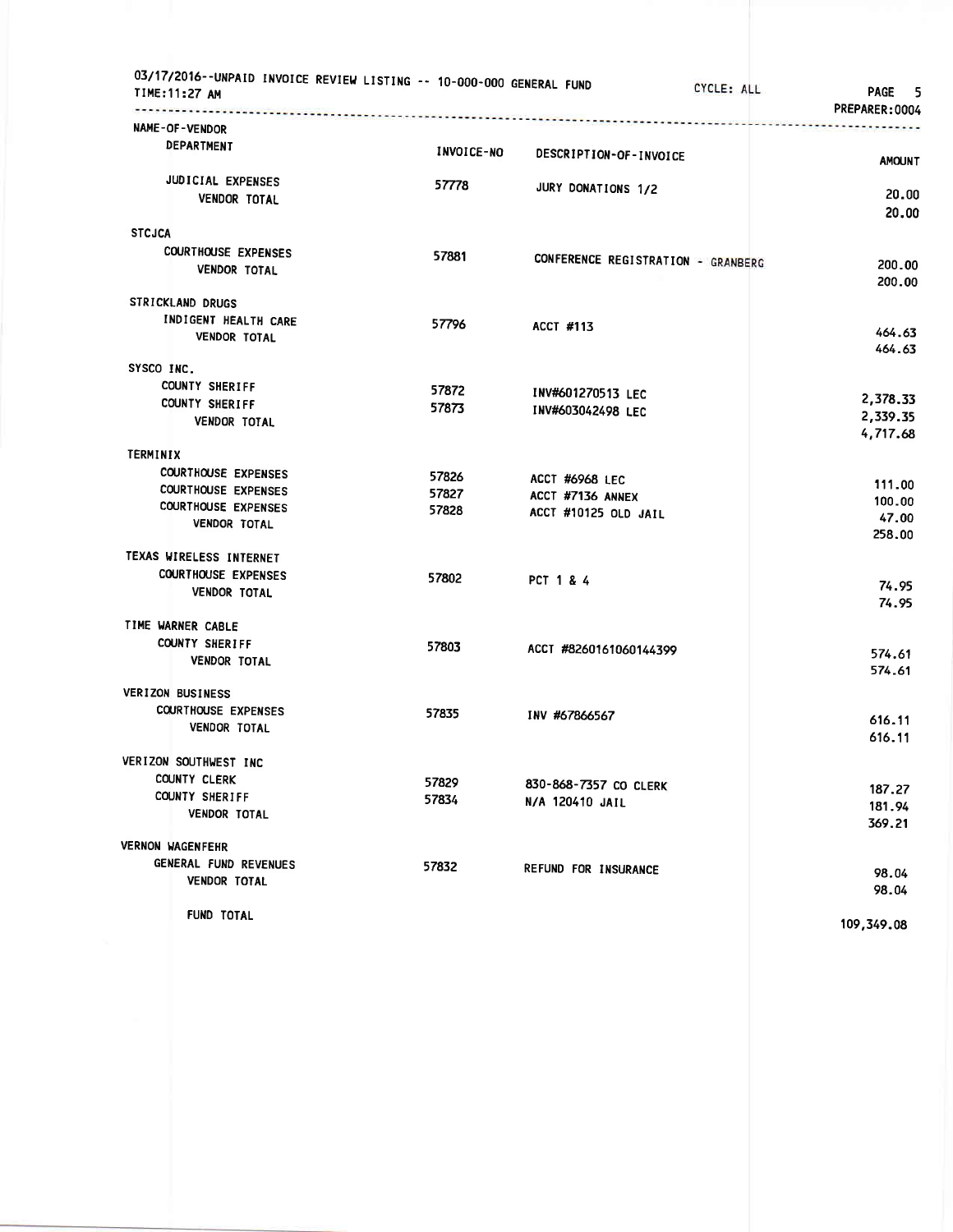| 03/17/2016--UNPAID INVOICE REVIEW LISTING -- 10-000-000 GENERAL FUND<br>TIME:11:27 AM | ------------------------------ | CYCLE: ALL                         | PAGE 5<br>PREPARER:0004 |
|---------------------------------------------------------------------------------------|--------------------------------|------------------------------------|-------------------------|
| NAME-OF-VENDOR                                                                        |                                |                                    |                         |
| DEPARTMENT                                                                            | <b>INVOICE-NO</b>              | DESCRIPTION-OF-INVOICE             | <b>AMOUNT</b>           |
| JUDICIAL EXPENSES                                                                     | 57778                          |                                    |                         |
| <b>VENDOR TOTAL</b>                                                                   |                                | JURY DONATIONS 1/2                 | 20.00                   |
|                                                                                       |                                |                                    | 20.00                   |
| <b>STCJCA</b>                                                                         |                                |                                    |                         |
| <b>COURTHOUSE EXPENSES</b>                                                            | 57881                          | CONFERENCE REGISTRATION - GRANBERG | 200.00                  |
| <b>VENDOR TOTAL</b>                                                                   |                                |                                    | 200.00                  |
| STRICKLAND DRUGS                                                                      |                                |                                    |                         |
| INDIGENT HEALTH CARE                                                                  | 57796                          |                                    |                         |
| VENDOR TOTAL                                                                          |                                | <b>ACCT #113</b>                   | 464.63                  |
|                                                                                       |                                |                                    | 464.63                  |
| SYSCO INC.                                                                            |                                |                                    |                         |
| <b>COUNTY SHERIFF</b>                                                                 | 57872                          | INV#601270513 LEC                  | 2,378.33                |
| <b>COUNTY SHERIFF</b><br><b>VENDOR TOTAL</b>                                          | 57873                          | INV#603042498 LEC                  | 2,339.35                |
|                                                                                       |                                |                                    | 4,717.68                |
| TERMINIX                                                                              |                                |                                    |                         |
| <b>COURTHOUSE EXPENSES</b>                                                            | 57826                          | ACCT #6968 LEC                     |                         |
| <b>COURTHOUSE EXPENSES</b>                                                            | 57827                          | ACCT #7136 ANNEX                   | 111.00                  |
| <b>COURTHOUSE EXPENSES</b>                                                            | 57828                          | ACCT #10125 OLD JAIL               | 100.00<br>47.00         |
| <b>VENDOR TOTAL</b>                                                                   |                                |                                    | 258.00                  |
| TEXAS WIRELESS INTERNET                                                               |                                |                                    |                         |
| <b>COURTHOUSE EXPENSES</b>                                                            | 57802                          |                                    |                         |
| <b>VENDOR TOTAL</b>                                                                   |                                | PCT 1 & 4                          | 74.95                   |
|                                                                                       |                                |                                    | 74.95                   |
| TIME WARNER CABLE                                                                     |                                |                                    |                         |
| COUNTY SHERIFF                                                                        | 57803                          | ACCT #8260161060144399             | 574.61                  |
| <b>VENDOR TOTAL</b>                                                                   |                                |                                    | 574.61                  |
| <b>VERIZON BUSINESS</b>                                                               |                                |                                    |                         |
| <b>COURTHOUSE EXPENSES</b>                                                            | 57835                          |                                    |                         |
| <b>VENDOR TOTAL</b>                                                                   |                                | INV #67866567                      | 616.11                  |
|                                                                                       |                                |                                    | 616.11                  |
| VERIZON SOUTHWEST INC                                                                 |                                |                                    |                         |
| COUNTY CLERK                                                                          | 57829                          | 830-868-7357 CO CLERK              | 187.27                  |
| COUNTY SHERIFF                                                                        | 57834                          | N/A 120410 JAIL                    | 181.94                  |
| <b>VENDOR TOTAL</b>                                                                   |                                |                                    | 369.21                  |
| <b>VERNON WAGENFEHR</b>                                                               |                                |                                    |                         |
| GENERAL FUND REVENUES                                                                 | 57832                          | <b>REFUND FOR INSURANCE</b>        |                         |
| <b>VENDOR TOTAL</b>                                                                   |                                |                                    | 98.04<br>98.04          |
|                                                                                       |                                |                                    |                         |
| FUND TOTAL                                                                            |                                |                                    | 109,349.08              |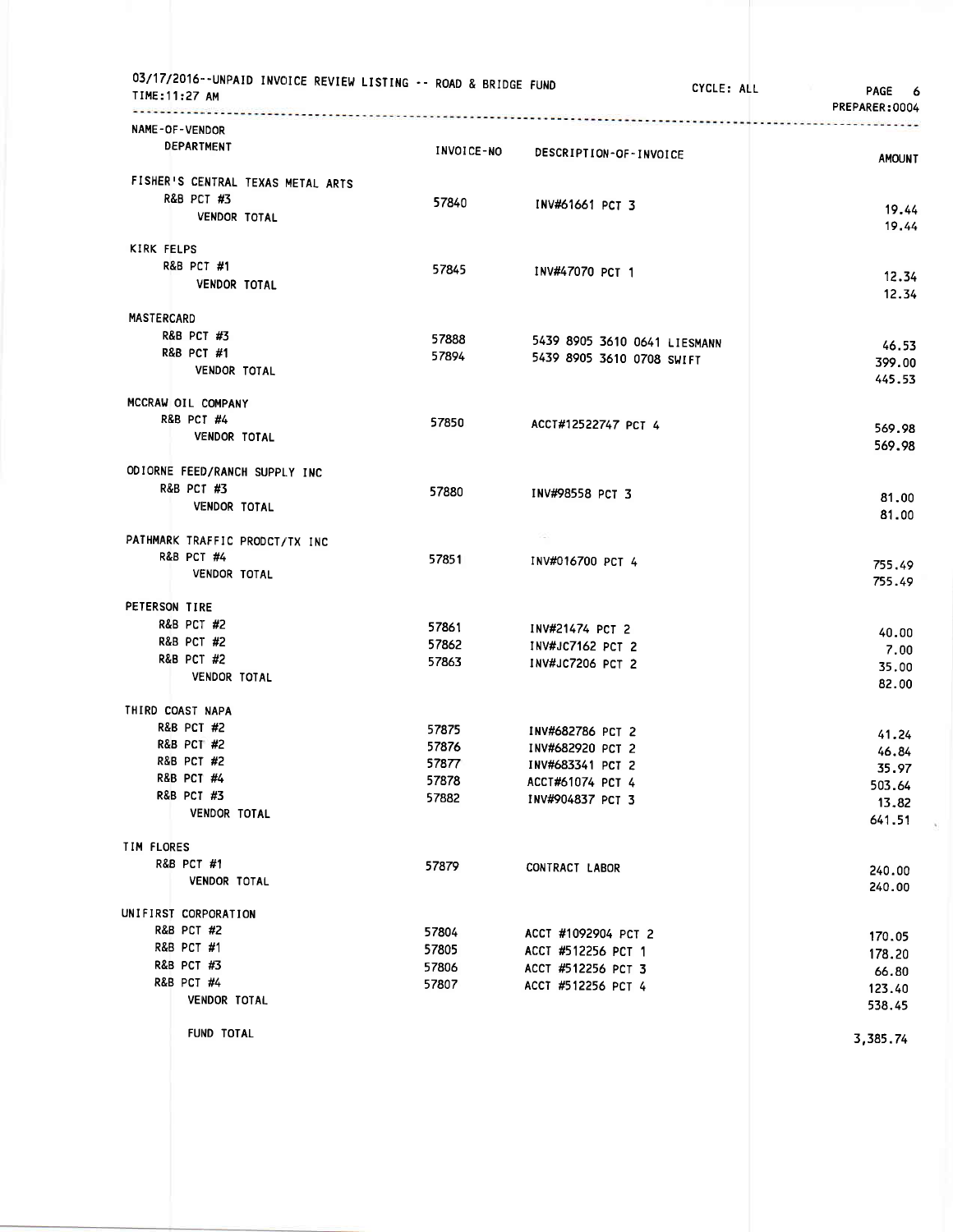|                   | 03/17/2016--UNPAID INVOICE REVIEW LISTING -- ROAD & BRIDGE FUND<br>TIME: 11:27 AM<br>. <i>.</i> |                   |                                      | CYCLE: ALL | <b>PAGE</b><br>6<br>PREPARER:0004 |
|-------------------|-------------------------------------------------------------------------------------------------|-------------------|--------------------------------------|------------|-----------------------------------|
|                   | NAME-OF-VENDOR<br><b>DEPARTMENT</b>                                                             | <b>INVOICE-NO</b> | DESCRIPTION-OF-INVOICE               |            | <b>AMOUNT</b>                     |
|                   | FISHER'S CENTRAL TEXAS METAL ARTS<br><b>R&amp;B PCT #3</b>                                      | 57840             | INV#61661 PCT 3                      |            | 19.44                             |
|                   | <b>VENDOR TOTAL</b>                                                                             |                   |                                      |            | 19.44                             |
| KIRK FELPS        |                                                                                                 |                   |                                      |            |                                   |
|                   | <b>R&amp;B PCT #1</b><br><b>VENDOR TOTAL</b>                                                    | 57845             | INV#47070 PCT 1                      |            | 12.34<br>12.34                    |
| <b>MASTERCARD</b> |                                                                                                 |                   |                                      |            |                                   |
|                   | <b>R&amp;B PCT #3</b>                                                                           | 57888             | 5439 8905 3610 0641 LIESMANN         |            | 46.53                             |
|                   | <b>R&amp;B PCT #1</b>                                                                           | 57894             | 5439 8905 3610 0708 SWIFT            |            | 399.00                            |
|                   | <b>VENDOR TOTAL</b>                                                                             |                   |                                      |            | 445.53                            |
|                   | MCCRAW OIL COMPANY                                                                              |                   |                                      |            |                                   |
|                   | <b>R&amp;B PCT #4</b>                                                                           | 57850             | ACCT#12522747 PCT 4                  |            | 569.98                            |
|                   | <b>VENDOR TOTAL</b>                                                                             |                   |                                      |            | 569.98                            |
|                   | ODIORNE FEED/RANCH SUPPLY INC                                                                   |                   |                                      |            |                                   |
|                   | <b>R&amp;B PCT #3</b>                                                                           | 57880             | INV#98558 PCT 3                      |            | 81.00                             |
|                   | <b>VENDOR TOTAL</b>                                                                             |                   |                                      |            | 81.00                             |
|                   | PATHMARK TRAFFIC PRODCT/TX INC                                                                  |                   |                                      |            |                                   |
|                   | <b>R&amp;B PCT #4</b>                                                                           | 57851             | INV#016700 PCT 4                     |            | 755.49                            |
|                   | <b>VENDOR TOTAL</b>                                                                             |                   |                                      |            | 755.49                            |
| PETERSON TIRE     |                                                                                                 |                   |                                      |            |                                   |
|                   | <b>R&amp;B PCT #2</b>                                                                           | 57861             | INV#21474 PCT 2                      |            | 40.00                             |
|                   | <b>R&amp;B PCT #2</b>                                                                           | 57862             | INV#JC7162 PCT 2                     |            | 7.00                              |
|                   | <b>R&amp;B PCT #2</b>                                                                           | 57863             | INV#JC7206 PCT 2                     |            | 35.00                             |
|                   | VENDOR TOTAL                                                                                    |                   |                                      |            | 82.00                             |
|                   | THIRD COAST NAPA                                                                                |                   |                                      |            |                                   |
|                   | <b>R&amp;B PCT #2</b>                                                                           | 57875             | INV#682786 PCT 2                     |            | 41.24                             |
|                   | <b>R&amp;B PCT #2</b>                                                                           | 57876             | INV#682920 PCT 2                     |            | 46.84                             |
|                   | <b>R&amp;B PCT #2</b><br><b>R&amp;B PCT #4</b>                                                  | 57877             | INV#683341 PCT 2                     |            | 35.97                             |
|                   | R&B PCT #3                                                                                      | 57878<br>57882    | ACCT#61074 PCT 4<br>INV#904837 PCT 3 |            | 503.64                            |
|                   | <b>VENDOR TOTAL</b>                                                                             |                   |                                      |            | 13.82<br>641.51                   |
| TIM FLORES        |                                                                                                 |                   |                                      |            |                                   |
|                   | R&B PCT #1                                                                                      | 57879             | CONTRACT LABOR                       |            |                                   |
|                   | <b>VENDOR TOTAL</b>                                                                             |                   |                                      |            | 240.00<br>240.00                  |
|                   | UNIFIRST CORPORATION                                                                            |                   |                                      |            |                                   |
|                   | <b>R&amp;B PCT #2</b>                                                                           | 57804             | ACCT #1092904 PCT 2                  |            |                                   |
|                   | R&B PCT #1                                                                                      | 57805             | ACCT #512256 PCT 1                   |            | 170.05<br>178.20                  |
|                   | <b>R&amp;B PCT #3</b>                                                                           | 57806             | ACCT #512256 PCT 3                   |            | 66.80                             |
|                   | <b>R&amp;B PCT #4</b>                                                                           | 57807             | ACCT #512256 PCT 4                   |            | 123.40                            |
|                   | VENDOR TOTAL                                                                                    |                   |                                      |            | 538.45                            |
|                   | <b>FUND TOTAL</b>                                                                               |                   |                                      |            | 3,385.74                          |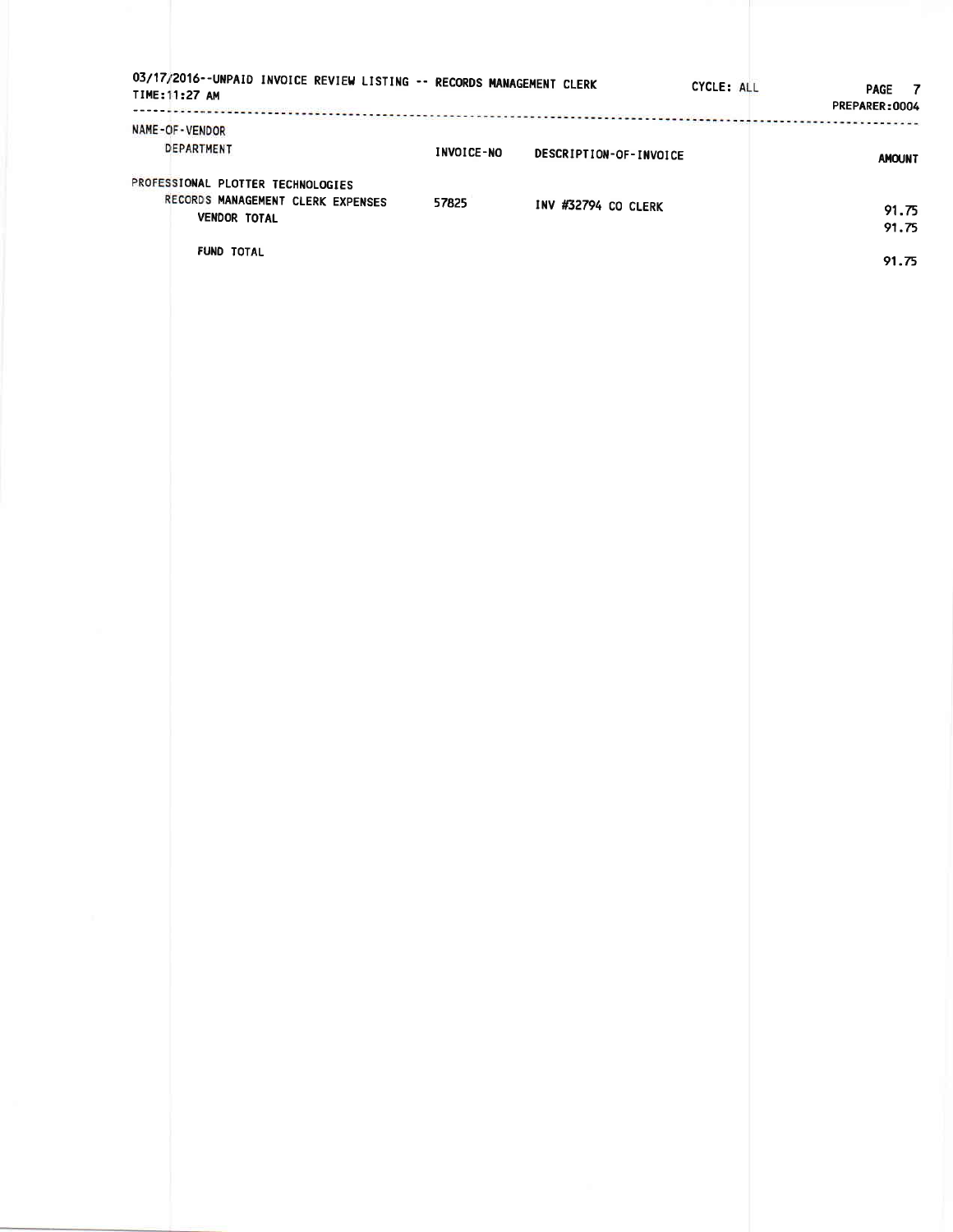| NAME-OF-VENDOR                                                                     |                   |                        |                |
|------------------------------------------------------------------------------------|-------------------|------------------------|----------------|
| DEPARTMENT                                                                         | <b>INVOICE-NO</b> | DESCRIPTION-OF-INVOICE | <b>AMOUNT</b>  |
| PROFESSIONAL PLOTTER TECHNOLOGIES                                                  |                   |                        |                |
| RECORDS MANAGEMENT CLERK EXPENSES 57825 INV #32794 CO CLERK<br><b>VENDOR TOTAL</b> |                   |                        | 91.75<br>91.75 |
| FUND TOTAL                                                                         |                   |                        | 91.75          |
|                                                                                    |                   |                        |                |
|                                                                                    |                   |                        |                |
|                                                                                    |                   |                        |                |
|                                                                                    |                   |                        |                |
|                                                                                    |                   |                        |                |
|                                                                                    |                   |                        |                |
|                                                                                    |                   |                        |                |
|                                                                                    |                   |                        |                |
|                                                                                    |                   |                        |                |
|                                                                                    |                   |                        |                |
|                                                                                    |                   |                        |                |
|                                                                                    |                   |                        |                |
|                                                                                    |                   |                        |                |
|                                                                                    |                   |                        |                |
|                                                                                    |                   |                        |                |
|                                                                                    |                   |                        |                |
|                                                                                    |                   |                        |                |
|                                                                                    |                   |                        |                |
|                                                                                    |                   |                        |                |
|                                                                                    |                   |                        |                |
|                                                                                    |                   |                        |                |
|                                                                                    |                   |                        |                |
|                                                                                    |                   |                        |                |
|                                                                                    |                   |                        |                |
|                                                                                    |                   |                        |                |
|                                                                                    |                   |                        |                |
|                                                                                    |                   |                        |                |
|                                                                                    |                   |                        |                |
|                                                                                    |                   |                        |                |
|                                                                                    |                   |                        |                |
|                                                                                    |                   |                        |                |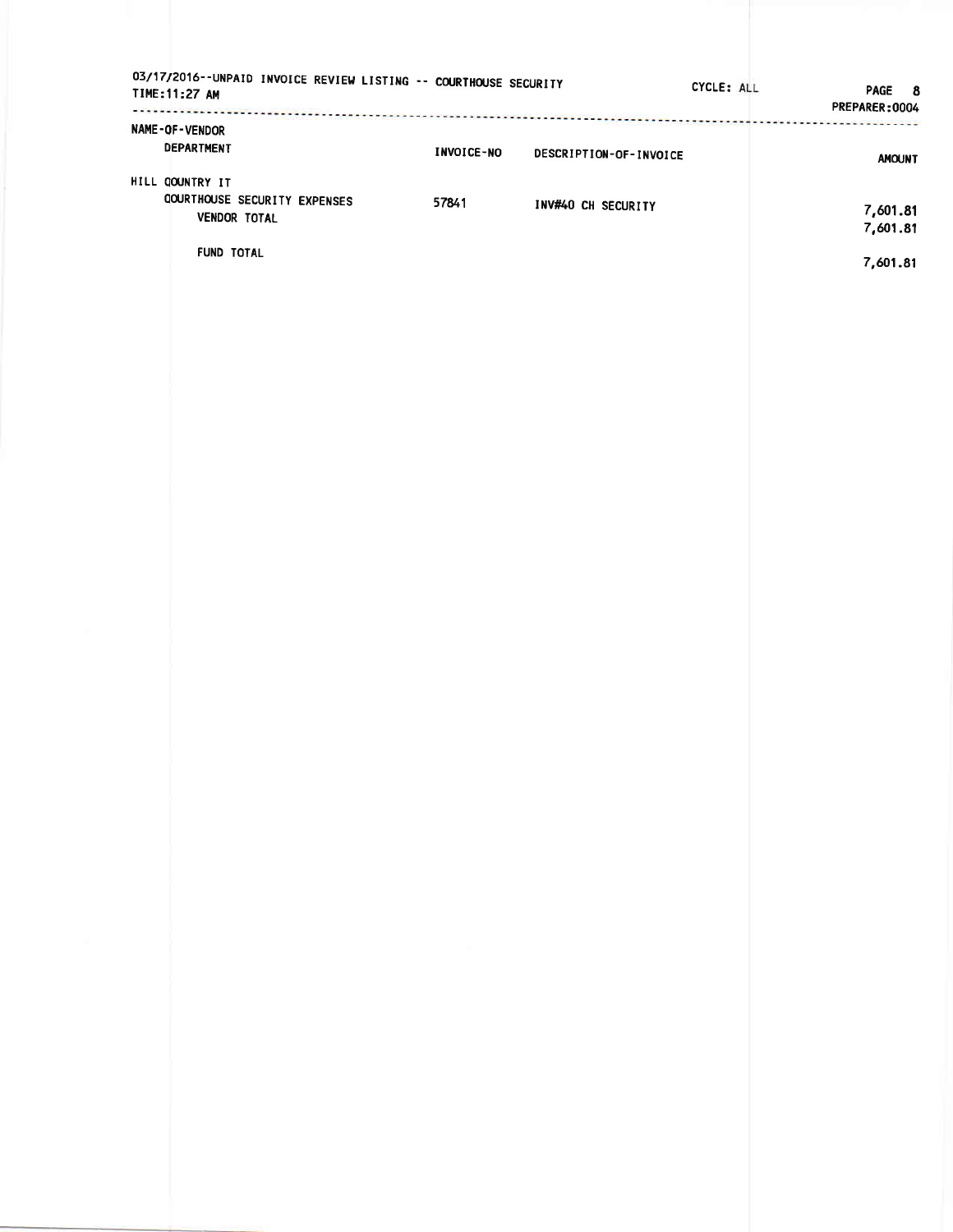| 03/17/2016--UNPAID INVOICE REVIEW LISTING -- COURTHOUSE SECURITY<br>TIME: 11:27 AM                          |                                             | CYCLE: ALL<br><b>PAGE</b><br>- 8<br>PREPARER:0004 |
|-------------------------------------------------------------------------------------------------------------|---------------------------------------------|---------------------------------------------------|
| NAME-OF-VENDOR<br><b>DEPARTMENT</b>                                                                         | <b>INVOICE-NO</b><br>DESCRIPTION-OF-INVOICE | <b>AMOUNT</b>                                     |
| HILL COUNTRY IT<br><b>COURTHOUSE SECURITY EXPENSES</b><br>57841<br><b>VENDOR TOTAL</b><br><b>FUND TOTAL</b> | INV#40 CH SECURITY                          | 7,601.81<br>7,601.81<br>7,601.81                  |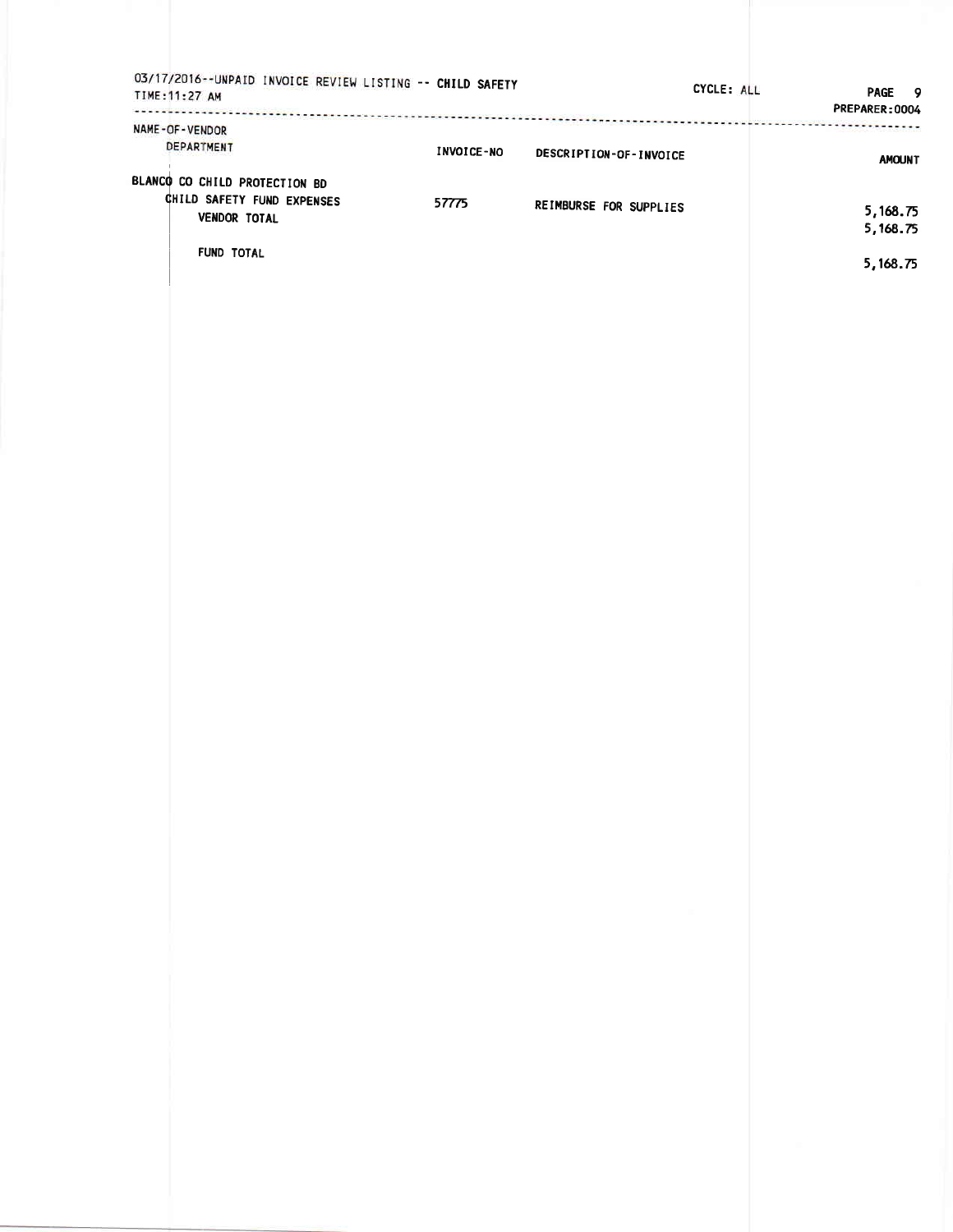| NAME-OF-VENDOR                |                   |                        | PREPARER: 0004 |
|-------------------------------|-------------------|------------------------|----------------|
| DEPARTMENT                    | <b>INVOICE-NO</b> | DESCRIPTION-OF-INVOICE | <b>AMOUNT</b>  |
| BLANCO CO CHILD PROTECTION BD |                   |                        |                |
| CHILD SAFETY FUND EXPENSES    | 57775             | REIMBURSE FOR SUPPLIES | 5,168.75       |
| VENDOR TOTAL                  |                   |                        | 5,168.75       |
| FUND TOTAL                    |                   |                        |                |
|                               |                   |                        | 5,168.75       |
|                               |                   |                        |                |
|                               |                   |                        |                |
|                               |                   |                        |                |
|                               |                   |                        |                |
|                               |                   |                        |                |
|                               |                   |                        |                |
|                               |                   |                        |                |
|                               |                   |                        |                |
|                               |                   |                        |                |
|                               |                   |                        |                |
|                               |                   |                        |                |
|                               |                   |                        |                |
|                               |                   |                        |                |
|                               |                   |                        |                |
|                               |                   |                        |                |
|                               |                   |                        |                |
|                               |                   |                        |                |
|                               |                   |                        |                |
|                               |                   |                        |                |
|                               |                   |                        |                |
|                               |                   |                        |                |
|                               |                   |                        |                |
|                               |                   |                        |                |
|                               |                   |                        |                |
|                               |                   |                        |                |
|                               |                   |                        |                |
|                               |                   |                        |                |
|                               |                   |                        |                |
|                               |                   |                        |                |
|                               |                   |                        |                |
|                               |                   |                        |                |
|                               |                   |                        |                |
|                               |                   |                        |                |
|                               |                   |                        |                |
|                               |                   |                        |                |
|                               |                   |                        |                |
|                               |                   |                        |                |
|                               |                   |                        |                |
|                               |                   |                        |                |
|                               |                   |                        |                |
|                               |                   |                        |                |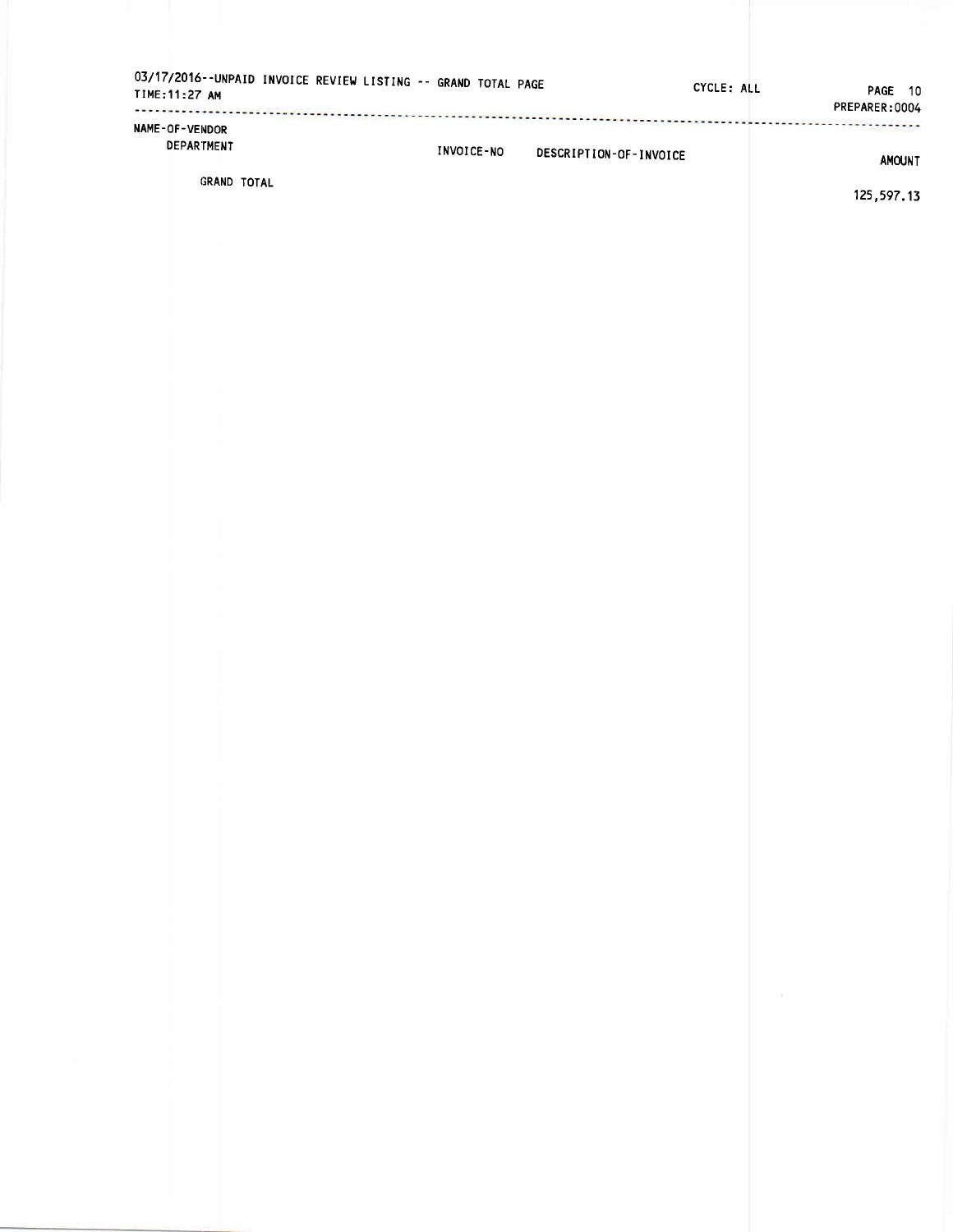| 03/17/2016--UNPAID INVOICE REVIEW LISTING -- GRAND TOTAL PAGE<br>TIME: 11:27 AM |            |                        | CYCLE: ALL | PAGE 10<br>PREPARER: 0004 |
|---------------------------------------------------------------------------------|------------|------------------------|------------|---------------------------|
| <b>NAME-OF-VENDOR</b><br><b>DEPARTMENT</b>                                      | INVOICE-NO | DESCRIPTION-OF-INVOICE |            | <b>AMOUNT</b>             |
| GRAND TOTAL                                                                     |            |                        |            |                           |

125,597.13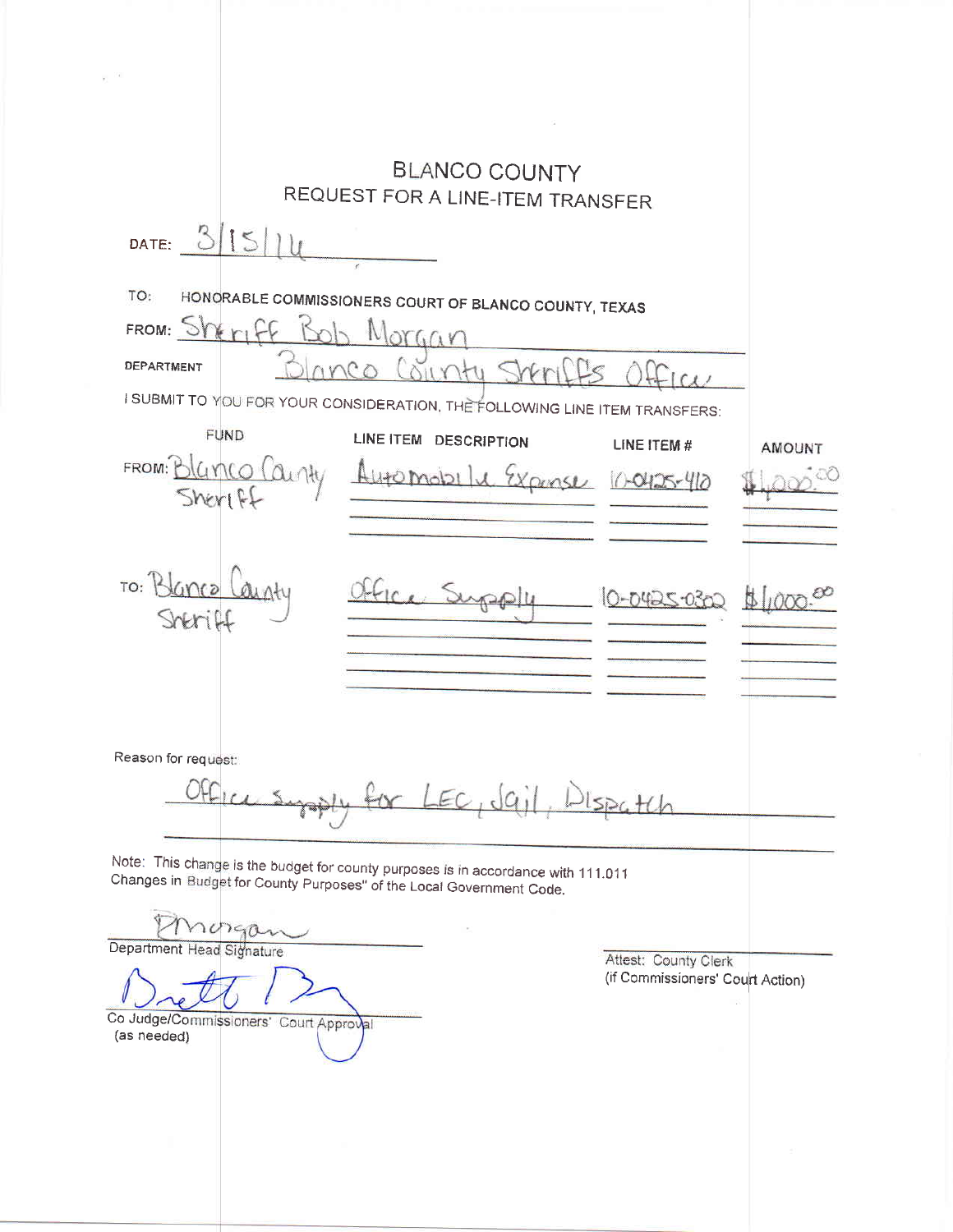|                                                       | <b>BLANCO COUNTY</b>                                                                                                                                      |                                  |  |
|-------------------------------------------------------|-----------------------------------------------------------------------------------------------------------------------------------------------------------|----------------------------------|--|
|                                                       | REQUEST FOR A LINE-ITEM TRANSFER                                                                                                                          |                                  |  |
| 15<br>DATE:                                           |                                                                                                                                                           |                                  |  |
|                                                       |                                                                                                                                                           |                                  |  |
| TO:                                                   | HONORABLE COMMISSIONERS COURT OF BLANCO COUNTY, TEXAS                                                                                                     |                                  |  |
| FROM: Sheriff                                         |                                                                                                                                                           |                                  |  |
| DEPARTMENT                                            | $O(C_0(x)$                                                                                                                                                |                                  |  |
|                                                       |                                                                                                                                                           |                                  |  |
|                                                       | I SUBMIT TO YOU FOR YOUR CONSIDERATION, THE FOLLOWING LINE ITEM TRANSFERS:                                                                                |                                  |  |
| <b>FUND</b>                                           | LINE ITEM DESCRIPTION                                                                                                                                     | LINE ITEM #<br><b>AMOUNT</b>     |  |
| FROM: Blanco County                                   | Alito Mobil<br>Wanse                                                                                                                                      | 0-0425-410                       |  |
| Sheriff                                               |                                                                                                                                                           |                                  |  |
|                                                       |                                                                                                                                                           |                                  |  |
|                                                       |                                                                                                                                                           |                                  |  |
| TO:                                                   |                                                                                                                                                           | 0-0425-0302                      |  |
|                                                       |                                                                                                                                                           |                                  |  |
|                                                       |                                                                                                                                                           |                                  |  |
|                                                       |                                                                                                                                                           |                                  |  |
|                                                       |                                                                                                                                                           |                                  |  |
| Reason for request:                                   |                                                                                                                                                           |                                  |  |
|                                                       |                                                                                                                                                           |                                  |  |
|                                                       | EC, d                                                                                                                                                     |                                  |  |
|                                                       |                                                                                                                                                           |                                  |  |
|                                                       | Note: This change is the budget for county purposes is in accordance with 111.011<br>Changes in Budget for County Purposes" of the Local Government Code. |                                  |  |
|                                                       |                                                                                                                                                           |                                  |  |
| norgan                                                |                                                                                                                                                           |                                  |  |
| Department Head Signature                             |                                                                                                                                                           | Attest: County Clerk             |  |
|                                                       |                                                                                                                                                           | (if Commissioners' Court Action) |  |
| Co Judge/Commissioners' Court Approval<br>(as needed) |                                                                                                                                                           |                                  |  |
|                                                       |                                                                                                                                                           |                                  |  |
|                                                       |                                                                                                                                                           |                                  |  |
|                                                       |                                                                                                                                                           |                                  |  |
|                                                       |                                                                                                                                                           |                                  |  |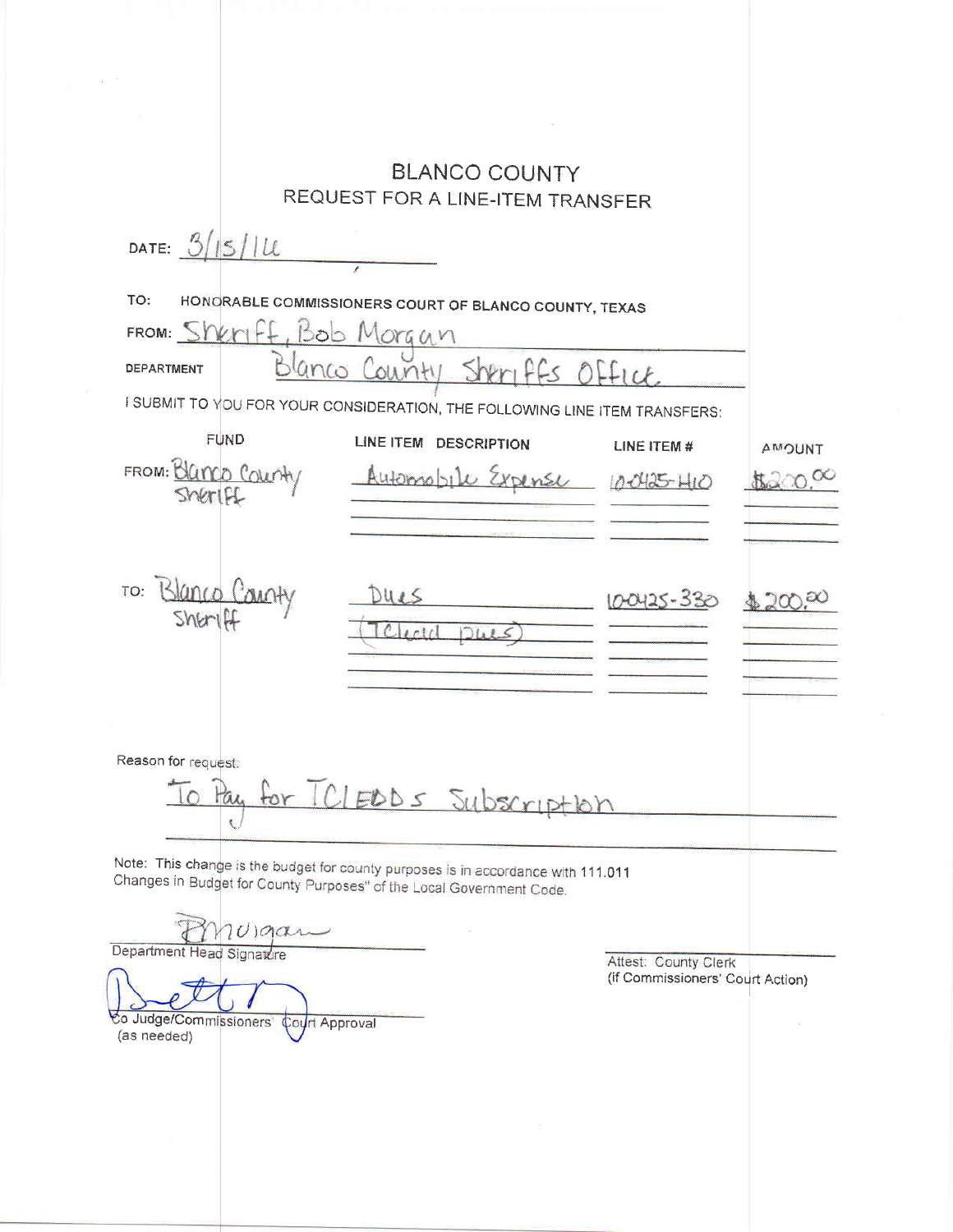|                                                                                       | <b>BLANCO COUNTY</b><br>REQUEST FOR A LINE-ITEM TRANSFER |                                                                                                                                                           |              |               |
|---------------------------------------------------------------------------------------|----------------------------------------------------------|-----------------------------------------------------------------------------------------------------------------------------------------------------------|--------------|---------------|
| DATE: $3/15/11$                                                                       |                                                          |                                                                                                                                                           |              |               |
| TO:                                                                                   | FROM: Sheriff, Bob Morgan                                | HONORABLE COMMISSIONERS COURT OF BLANCO COUNTY, TEXAS                                                                                                     |              |               |
| <b>DEPARTMENT</b>                                                                     | 0110H<br>Ls n                                            |                                                                                                                                                           |              |               |
| I SUBMIT TO YOU FOR YOUR CONSIDERATION, THE FOLLOWING LINE ITEM TRANSFERS:            |                                                          |                                                                                                                                                           |              |               |
|                                                                                       | <b>FUND</b>                                              | LINE ITEM DESCRIPTION                                                                                                                                     | LINE ITEM #  | <b>TAUCMA</b> |
| FROM: Blanco Count<br>Sheriff                                                         |                                                          | Automobile Expense                                                                                                                                        | 10-0425-1410 |               |
|                                                                                       |                                                          |                                                                                                                                                           |              |               |
| TO:<br>$5$ <i>NG</i> $-1$                                                             |                                                          | JULS                                                                                                                                                      | 100425-330   |               |
|                                                                                       |                                                          | 10 <sup>1</sup>                                                                                                                                           |              |               |
|                                                                                       |                                                          |                                                                                                                                                           |              |               |
| Reason for request:                                                                   |                                                          |                                                                                                                                                           |              |               |
|                                                                                       |                                                          | TCLEDDS Subscription                                                                                                                                      |              |               |
|                                                                                       |                                                          | Note: This change is the budget for county purposes is in accordance with 111.011<br>Changes in Budget for County Purposes" of the Local Government Code. |              |               |
|                                                                                       | $10)$ gan                                                |                                                                                                                                                           |              |               |
| Department Head Signature<br>Attest: County Clerk<br>(if Commissioners' Court Action) |                                                          |                                                                                                                                                           |              |               |
| (as needed)                                                                           | Co Judge/Commissioners' Court Approval                   |                                                                                                                                                           |              |               |
|                                                                                       |                                                          |                                                                                                                                                           |              |               |
|                                                                                       |                                                          |                                                                                                                                                           |              |               |

 $\sim 100$   $\sigma$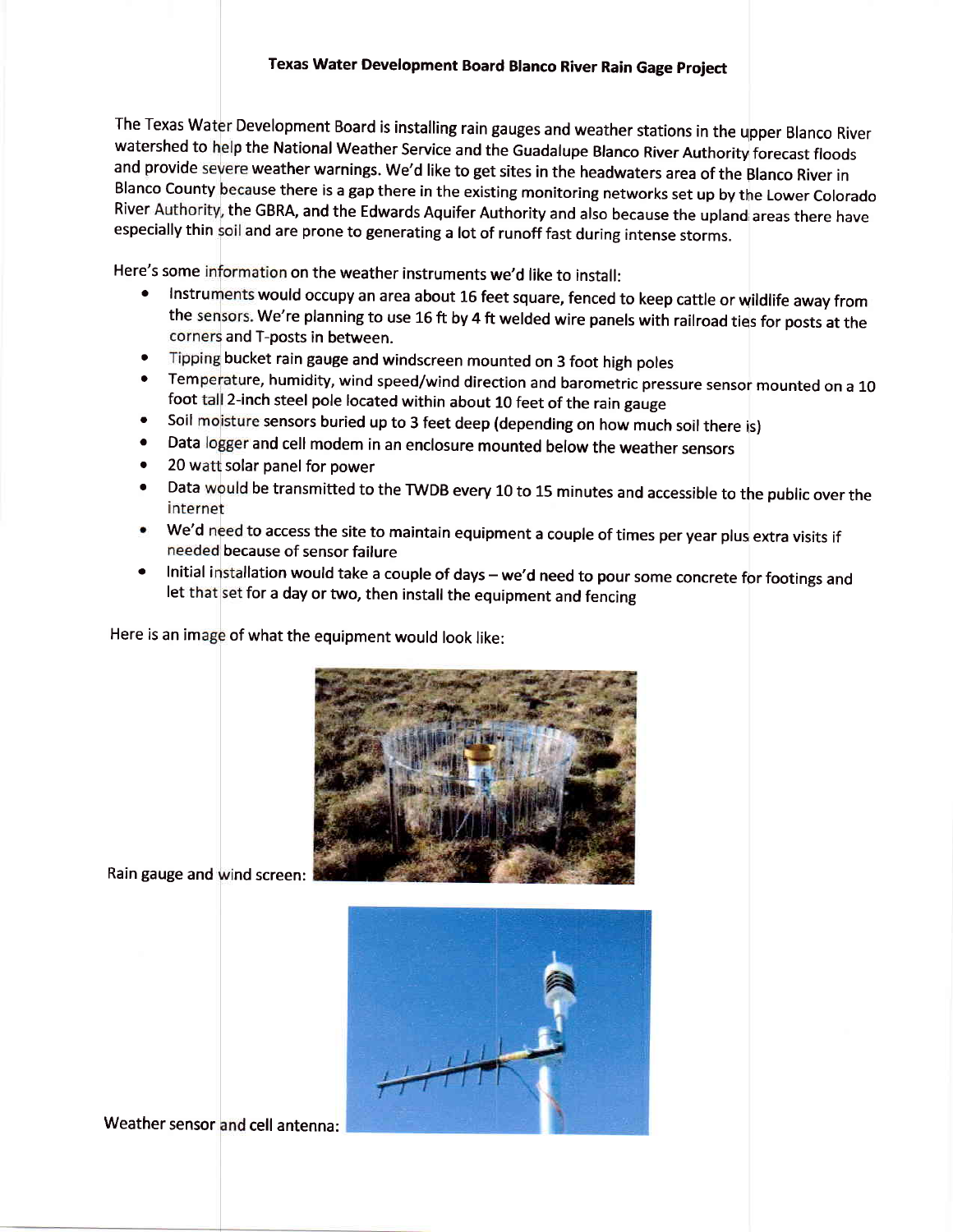River Authority, the GBRA, and the Edwards Aquifer Authority and also because the upland areas there have especially thin soil and are prone to generating a lot of runoff fast during intense storms. The Texas Wa Development Board is installing rain gauges and weather stations in the upper Blanco River watershed to help the National Weather Service and the Guadalupe Blanco River Authority forecast floods and provide severe weather warnings. We'd like to get sites in the headwaters area of the Blanco River in Blanco County because there is a gap there in the existing monitoring networks set up by the Lower Colorado

Here's some information on the weather instruments we'd like to install:

- **of the Instruments would occupy an area about 16 feet square, fenced to keep cattle or wildlife away from** the sensors. We're planning to use 16 ft by 4 ft welded wire panels with railroad ties for posts at the corners and T-posts in between.
- a Tipping bucket rain gauge and windscreen mounted on 3 foot high poles
- Temperature, humidity, wind speed/wind direction and barometric pressure sensor mounted on a 10 foot tall 2-inch steel pole located within about 10 feet of the rain gauge a
- Soil moisture sensors buried up to 3 feet deep (depending on how much soil there is) o
- Data logger and cell modem in an enclosure mounted below the weather sensors a
- 20 watt solar panel for power o
- a Data would be transmitted to the TWDB every 10 to 15 minutes and accessible to the public over the internet
- We'd need to access the site to maintain equipment a couple of times per year plus extra visits if needed because of sensor failure
- Initial installation would take a couple of days we'd need to pour some concrete for footings and let that set for a day or two, then install the equipment and fencing

Here is an image of what the equipment would look like:



Rain gauge and wind screen:



Weather sensor and cell antenna: